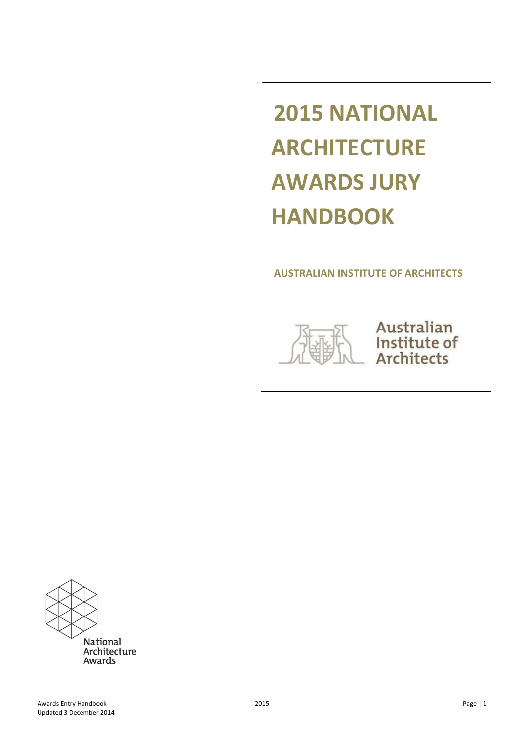# **2015 NATIONAL ARCHITECTURE AWARDS JURY HANDBOOK**

### **AUSTRALIAN INSTITUTE OF ARCHITECTS**



Australian Institute of **Architects** 

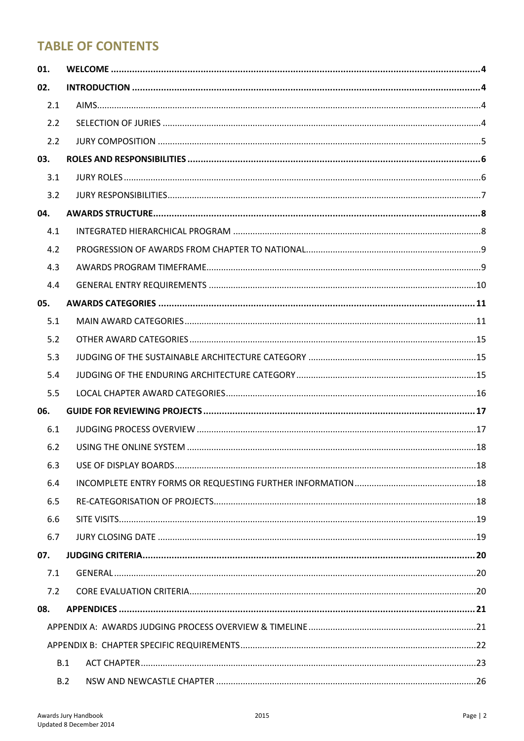# **TABLE OF CONTENTS**

| 01. |     |  |  |
|-----|-----|--|--|
| 02. |     |  |  |
| 2.1 |     |  |  |
| 2.2 |     |  |  |
| 2.2 |     |  |  |
| 03. |     |  |  |
| 3.1 |     |  |  |
| 3.2 |     |  |  |
| 04. |     |  |  |
| 4.1 |     |  |  |
| 4.2 |     |  |  |
| 4.3 |     |  |  |
| 4.4 |     |  |  |
| 05. |     |  |  |
| 5.1 |     |  |  |
| 5.2 |     |  |  |
| 5.3 |     |  |  |
| 5.4 |     |  |  |
| 5.5 |     |  |  |
| 06. |     |  |  |
| 6.1 |     |  |  |
| 6.2 |     |  |  |
| 6.3 |     |  |  |
| 6.4 |     |  |  |
| 6.5 |     |  |  |
| 6.6 |     |  |  |
| 6.7 |     |  |  |
| 07. |     |  |  |
| 7.1 |     |  |  |
| 7.2 |     |  |  |
| 08. |     |  |  |
|     |     |  |  |
|     |     |  |  |
|     | B.1 |  |  |
|     | B.2 |  |  |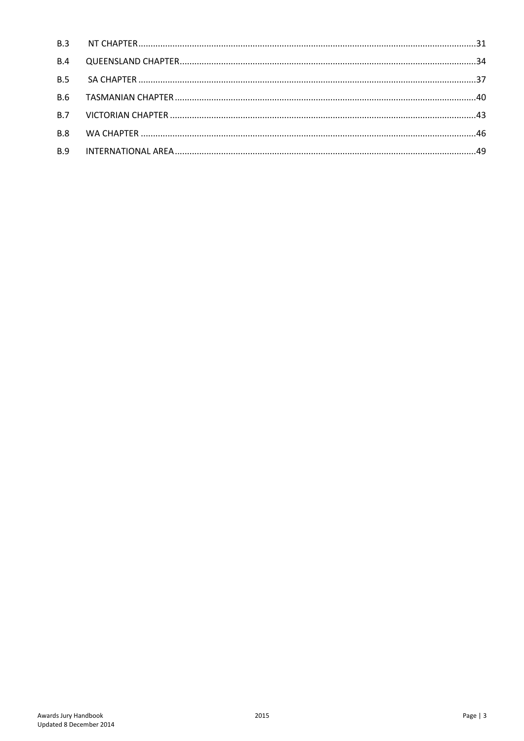| B.4 |  |
|-----|--|
|     |  |
|     |  |
|     |  |
| B.8 |  |
| B.9 |  |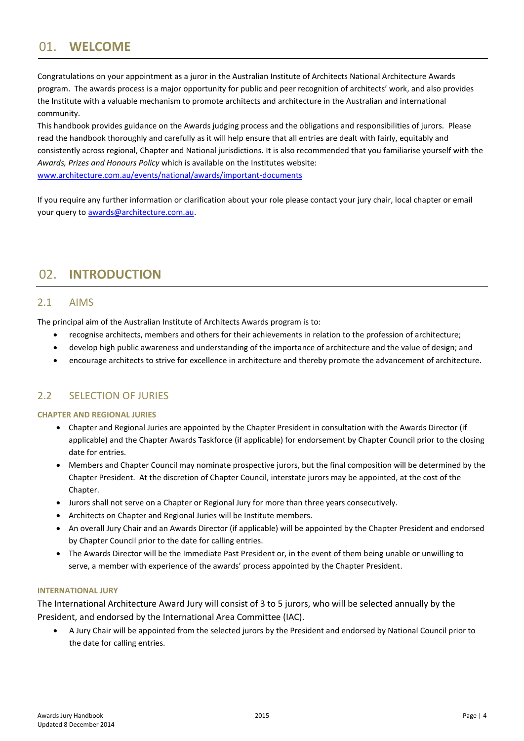# <span id="page-3-0"></span>01. **WELCOME**

Congratulations on your appointment as a juror in the Australian Institute of Architects National Architecture Awards program. The awards process is a major opportunity for public and peer recognition of architects' work, and also provides the Institute with a valuable mechanism to promote architects and architecture in the Australian and international community.

This handbook provides guidance on the Awards judging process and the obligations and responsibilities of jurors. Please read the handbook thoroughly and carefully as it will help ensure that all entries are dealt with fairly, equitably and consistently across regional, Chapter and National jurisdictions. It is also recommended that you familiarise yourself with the *Awards, Prizes and Honours Policy* which is available on the Institutes website:

[www.architecture.com.au/events/national/awards/important-documents](http://www.architecture.com.au/events/national/awards/important-documents)

If you require any further information or clarification about your role please contact your jury chair, local chapter or email your query to [awards@architecture.com.au.](mailto:awards@architecture.com.au)

# <span id="page-3-1"></span>02. **INTRODUCTION**

### <span id="page-3-2"></span>2.1 AIMS

The principal aim of the Australian Institute of Architects Awards program is to:

- recognise architects, members and others for their achievements in relation to the profession of architecture;
- develop high public awareness and understanding of the importance of architecture and the value of design; and
- encourage architects to strive for excellence in architecture and thereby promote the advancement of architecture.

### <span id="page-3-3"></span>2.2 SELECTION OF JURIES

### **CHAPTER AND REGIONAL JURIES**

- Chapter and Regional Juries are appointed by the Chapter President in consultation with the Awards Director (if applicable) and the Chapter Awards Taskforce (if applicable) for endorsement by Chapter Council prior to the closing date for entries.
- Members and Chapter Council may nominate prospective jurors, but the final composition will be determined by the Chapter President. At the discretion of Chapter Council, interstate jurors may be appointed, at the cost of the Chapter.
- Jurors shall not serve on a Chapter or Regional Jury for more than three years consecutively.
- Architects on Chapter and Regional Juries will be Institute members.
- An overall Jury Chair and an Awards Director (if applicable) will be appointed by the Chapter President and endorsed by Chapter Council prior to the date for calling entries.
- The Awards Director will be the Immediate Past President or, in the event of them being unable or unwilling to serve, a member with experience of the awards' process appointed by the Chapter President.

### **INTERNATIONAL JURY**

The International Architecture Award Jury will consist of 3 to 5 jurors, who will be selected annually by the President, and endorsed by the International Area Committee (IAC).

 A Jury Chair will be appointed from the selected jurors by the President and endorsed by National Council prior to the date for calling entries.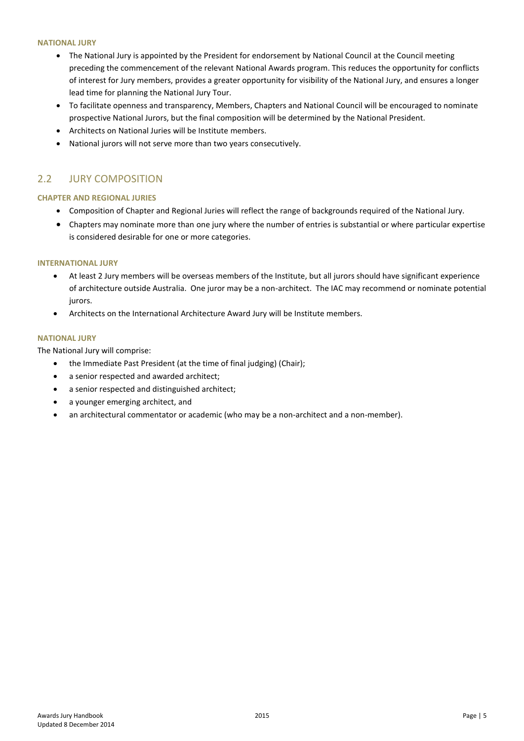### **NATIONAL JURY**

- The National Jury is appointed by the President for endorsement by National Council at the Council meeting preceding the commencement of the relevant National Awards program. This reduces the opportunity for conflicts of interest for Jury members, provides a greater opportunity for visibility of the National Jury, and ensures a longer lead time for planning the National Jury Tour.
- To facilitate openness and transparency, Members, Chapters and National Council will be encouraged to nominate prospective National Jurors, but the final composition will be determined by the National President.
- Architects on National Juries will be Institute members.
- National jurors will not serve more than two years consecutively.

### <span id="page-4-0"></span>2.2 JURY COMPOSITION

### **CHAPTER AND REGIONAL JURIES**

- Composition of Chapter and Regional Juries will reflect the range of backgrounds required of the National Jury.
- Chapters may nominate more than one jury where the number of entries is substantial or where particular expertise is considered desirable for one or more categories.

### **INTERNATIONAL JURY**

- At least 2 Jury members will be overseas members of the Institute, but all jurors should have significant experience of architecture outside Australia. One juror may be a non-architect. The IAC may recommend or nominate potential jurors.
- Architects on the International Architecture Award Jury will be Institute members.

### **NATIONAL JURY**

The National Jury will comprise:

- the Immediate Past President (at the time of final judging) (Chair);
- a senior respected and awarded architect;
- a senior respected and distinguished architect;
- a younger emerging architect, and
- an architectural commentator or academic (who may be a non-architect and a non-member).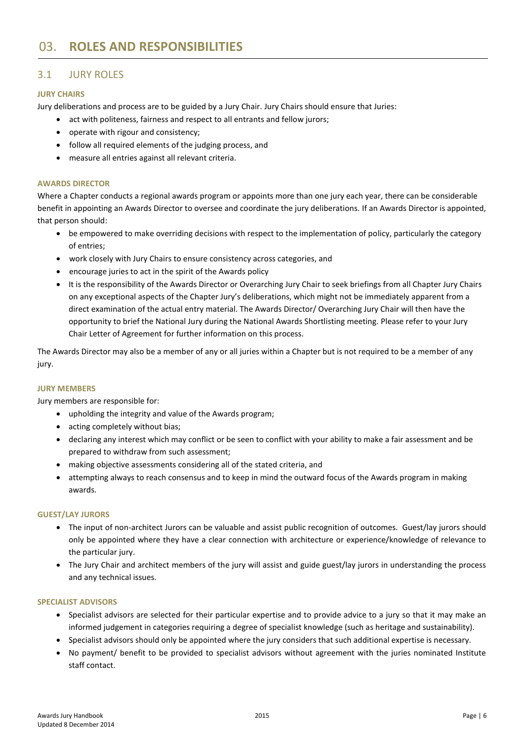### <span id="page-5-1"></span><span id="page-5-0"></span>3.1 JURY ROLES

### **JURY CHAIRS**

Jury deliberations and process are to be guided by a Jury Chair. Jury Chairs should ensure that Juries:

- act with politeness, fairness and respect to all entrants and fellow jurors;
- operate with rigour and consistency;
- follow all required elements of the judging process, and
- measure all entries against all relevant criteria.

### **AWARDS DIRECTOR**

Where a Chapter conducts a regional awards program or appoints more than one jury each year, there can be considerable benefit in appointing an Awards Director to oversee and coordinate the jury deliberations. If an Awards Director is appointed, that person should:

- be empowered to make overriding decisions with respect to the implementation of policy, particularly the category of entries;
- work closely with Jury Chairs to ensure consistency across categories, and
- encourage juries to act in the spirit of the Awards policy
- It is the responsibility of the Awards Director or Overarching Jury Chair to seek briefings from all Chapter Jury Chairs on any exceptional aspects of the Chapter Jury's deliberations, which might not be immediately apparent from a direct examination of the actual entry material. The Awards Director/ Overarching Jury Chair will then have the opportunity to brief the National Jury during the National Awards Shortlisting meeting. Please refer to your Jury Chair Letter of Agreement for further information on this process.

The Awards Director may also be a member of any or all juries within a Chapter but is not required to be a member of any jury.

### **JURY MEMBERS**

Jury members are responsible for:

- upholding the integrity and value of the Awards program;
- acting completely without bias;
- declaring any interest which may conflict or be seen to conflict with your ability to make a fair assessment and be prepared to withdraw from such assessment;
- making objective assessments considering all of the stated criteria, and
- attempting always to reach consensus and to keep in mind the outward focus of the Awards program in making awards.

### **GUEST/LAY JURORS**

- The input of non-architect Jurors can be valuable and assist public recognition of outcomes. Guest/lay jurors should only be appointed where they have a clear connection with architecture or experience/knowledge of relevance to the particular jury.
- The Jury Chair and architect members of the jury will assist and guide guest/lay jurors in understanding the process and any technical issues.

### **SPECIALIST ADVISORS**

- Specialist advisors are selected for their particular expertise and to provide advice to a jury so that it may make an informed judgement in categories requiring a degree of specialist knowledge (such as heritage and sustainability).
- Specialist advisors should only be appointed where the jury considers that such additional expertise is necessary.
- No payment/ benefit to be provided to specialist advisors without agreement with the juries nominated Institute staff contact.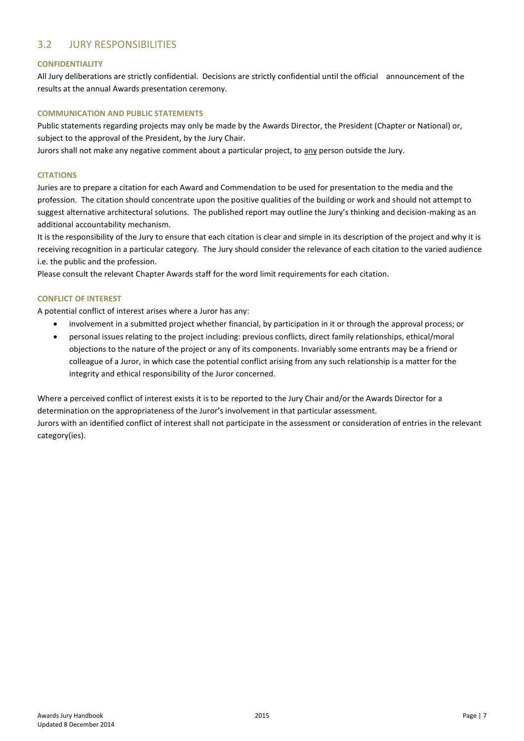### <span id="page-6-0"></span>3.2 JURY RESPONSIBILITIES

### **CONFIDENTIALITY**

All Jury deliberations are strictly confidential. Decisions are strictly confidential until the official announcement of the results at the annual Awards presentation ceremony.

### **COMMUNICATION AND PUBLIC STATEMENTS**

Public statements regarding projects may only be made by the Awards Director, the President (Chapter or National) or, subject to the approval of the President, by the Jury Chair.

Jurors shall not make any negative comment about a particular project, to any person outside the Jury.

### **CITATIONS**

Juries are to prepare a citation for each Award and Commendation to be used for presentation to the media and the profession. The citation should concentrate upon the positive qualities of the building or work and should not attempt to suggest alternative architectural solutions. The published report may outline the Jury's thinking and decision-making as an additional accountability mechanism.

It is the responsibility of the Jury to ensure that each citation is clear and simple in its description of the project and why it is receiving recognition in a particular category. The Jury should consider the relevance of each citation to the varied audience i.e. the public and the profession.

Please consult the relevant Chapter Awards staff for the word limit requirements for each citation.

### **CONFLICT OF INTEREST**

category(ies).

A potential conflict of interest arises where a Juror has any:

- involvement in a submitted project whether financial, by participation in it or through the approval process; or
- personal issues relating to the project including: previous conflicts, direct family relationships, ethical/moral objections to the nature of the project or any of its components. Invariably some entrants may be a friend or colleague of a Juror, in which case the potential conflict arising from any such relationship is a matter for the integrity and ethical responsibility of the Juror concerned.

Where a perceived conflict of interest exists it is to be reported to the Jury Chair and/or the Awards Director for a determination on the appropriateness of the Juror's involvement in that particular assessment. Jurors with an identified conflict of interest shall not participate in the assessment or consideration of entries in the relevant

Awards Jury Handbook 2015 Page | 7 Updated 8 December 2014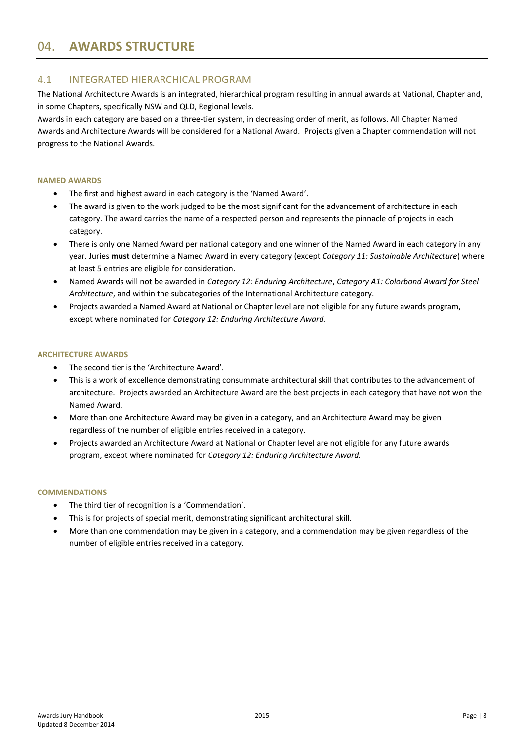# <span id="page-7-0"></span>04. **AWARDS STRUCTURE**

### <span id="page-7-1"></span>4.1 INTEGRATED HIERARCHICAL PROGRAM

The National Architecture Awards is an integrated, hierarchical program resulting in annual awards at National, Chapter and, in some Chapters, specifically NSW and QLD, Regional levels.

Awards in each category are based on a three-tier system, in decreasing order of merit, as follows. All Chapter Named Awards and Architecture Awards will be considered for a National Award. Projects given a Chapter commendation will not progress to the National Awards.

### **NAMED AWARDS**

- The first and highest award in each category is the 'Named Award'.
- The award is given to the work judged to be the most significant for the advancement of architecture in each category. The award carries the name of a respected person and represents the pinnacle of projects in each category.
- There is only one Named Award per national category and one winner of the Named Award in each category in any year. Juries **must** determine a Named Award in every category (except *Category 11: Sustainable Architecture*) where at least 5 entries are eligible for consideration.
- Named Awards will not be awarded in *Category 12: Enduring Architecture*, *Category A1: Colorbond Award for Steel Architecture*, and within the subcategories of the International Architecture category.
- Projects awarded a Named Award at National or Chapter level are not eligible for any future awards program, except where nominated for *Category 12: Enduring Architecture Award*.

### **ARCHITECTURE AWARDS**

- The second tier is the 'Architecture Award'.
- This is a work of excellence demonstrating consummate architectural skill that contributes to the advancement of architecture. Projects awarded an Architecture Award are the best projects in each category that have not won the Named Award.
- More than one Architecture Award may be given in a category, and an Architecture Award may be given regardless of the number of eligible entries received in a category.
- Projects awarded an Architecture Award at National or Chapter level are not eligible for any future awards program, except where nominated for *Category 12: Enduring Architecture Award.*

### **COMMENDATIONS**

- The third tier of recognition is a 'Commendation'.
- This is for projects of special merit, demonstrating significant architectural skill.
- More than one commendation may be given in a category, and a commendation may be given regardless of the number of eligible entries received in a category.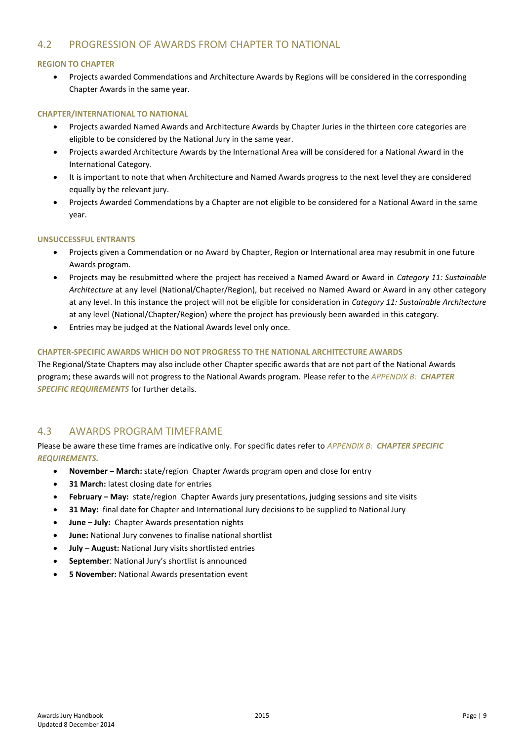### <span id="page-8-0"></span>4.2 PROGRESSION OF AWARDS FROM CHAPTER TO NATIONAL

### **REGION TO CHAPTER**

 Projects awarded Commendations and Architecture Awards by Regions will be considered in the corresponding Chapter Awards in the same year.

### **CHAPTER/INTERNATIONAL TO NATIONAL**

- Projects awarded Named Awards and Architecture Awards by Chapter Juries in the thirteen core categories are eligible to be considered by the National Jury in the same year.
- Projects awarded Architecture Awards by the International Area will be considered for a National Award in the International Category.
- It is important to note that when Architecture and Named Awards progress to the next level they are considered equally by the relevant jury.
- Projects Awarded Commendations by a Chapter are not eligible to be considered for a National Award in the same year.

### **UNSUCCESSFUL ENTRANTS**

- Projects given a Commendation or no Award by Chapter, Region or International area may resubmit in one future Awards program.
- Projects may be resubmitted where the project has received a Named Award or Award in *Category 11: Sustainable Architecture* at any level (National/Chapter/Region), but received no Named Award or Award in any other category at any level. In this instance the project will not be eligible for consideration in *Category 11: Sustainable Architecture*  at any level (National/Chapter/Region) where the project has previously been awarded in this category.
- Entries may be judged at the National Awards level only once.

### **CHAPTER-SPECIFIC AWARDS WHICH DO NOT PROGRESS TO THE NATIONAL ARCHITECTURE AWARDS**

The Regional/State Chapters may also include other Chapter specific awards that are not part of the National Awards program; these awards will not progress to the National Awards program. Please refer to the *[APPENDIX B:](#page-21-0) CHAPTER SPECIFIC [REQUIREMENTS](#page-21-0)* for further details.

### <span id="page-8-1"></span>4.3 AWARDS PROGRAM TIMEFRAME

Please be aware these time frames are indicative only. For specific dates refer to *APPENDIX B: [CHAPTER SPECIFIC](#page-21-0) [REQUIREMENTS.](#page-21-0)*

- **November – March:** state/region Chapter Awards program open and close for entry
- **31 March:** latest closing date for entries
- **February – May:** state/region Chapter Awards jury presentations, judging sessions and site visits
- **31 May:** final date for Chapter and International Jury decisions to be supplied to National Jury
- **June – July:** Chapter Awards presentation nights
- **June:** National Jury convenes to finalise national shortlist
- **July August:** National Jury visits shortlisted entries
- **September**: National Jury's shortlist is announced
- **5 November:** National Awards presentation event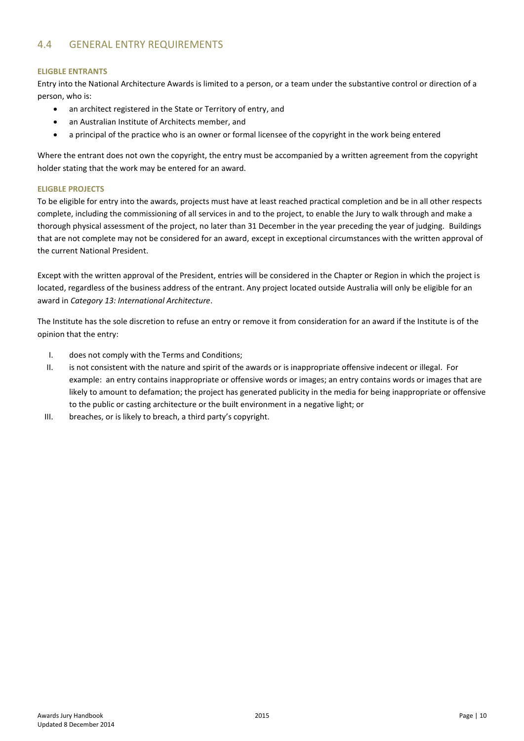### <span id="page-9-0"></span>4.4 GENERAL ENTRY REQUIREMENTS

### **ELIGBLE ENTRANTS**

Entry into the National Architecture Awards is limited to a person, or a team under the substantive control or direction of a person, who is:

- an architect registered in the State or Territory of entry, and
- an Australian Institute of Architects member, and
- a principal of the practice who is an owner or formal licensee of the copyright in the work being entered

Where the entrant does not own the copyright, the entry must be accompanied by a written agreement from the copyright holder stating that the work may be entered for an award.

### **ELIGBLE PROJECTS**

To be eligible for entry into the awards, projects must have at least reached practical completion and be in all other respects complete, including the commissioning of all services in and to the project, to enable the Jury to walk through and make a thorough physical assessment of the project, no later than 31 December in the year preceding the year of judging. Buildings that are not complete may not be considered for an award, except in exceptional circumstances with the written approval of the current National President.

Except with the written approval of the President, entries will be considered in the Chapter or Region in which the project is located, regardless of the business address of the entrant. Any project located outside Australia will only be eligible for an award in *Category 13: International Architecture*.

The Institute has the sole discretion to refuse an entry or remove it from consideration for an award if the Institute is of the opinion that the entry:

- I. does not comply with the Terms and Conditions;
- II. is not consistent with the nature and spirit of the awards or is inappropriate offensive indecent or illegal. For example: an entry contains inappropriate or offensive words or images; an entry contains words or images that are likely to amount to defamation; the project has generated publicity in the media for being inappropriate or offensive to the public or casting architecture or the built environment in a negative light; or
- III. breaches, or is likely to breach, a third party's copyright.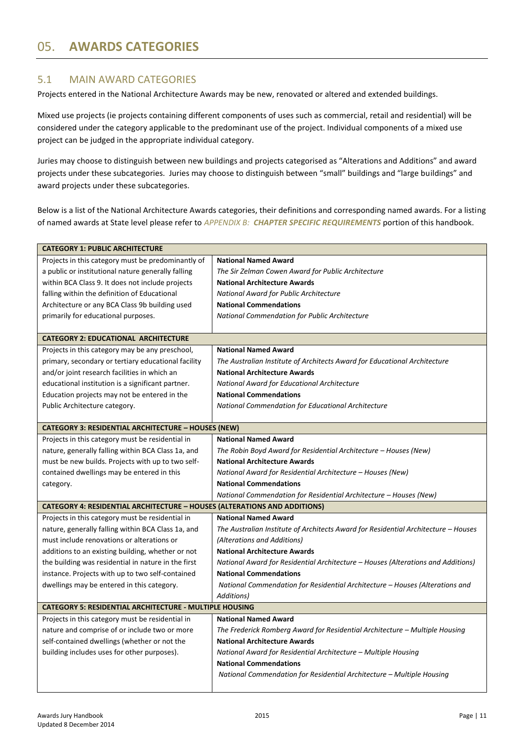### <span id="page-10-1"></span><span id="page-10-0"></span>5.1 MAIN AWARD CATEGORIES

Projects entered in the National Architecture Awards may be new, renovated or altered and extended buildings.

Mixed use projects (ie projects containing different components of uses such as commercial, retail and residential) will be considered under the category applicable to the predominant use of the project. Individual components of a mixed use project can be judged in the appropriate individual category.

Juries may choose to distinguish between new buildings and projects categorised as "Alterations and Additions" and award projects under these subcategories. Juries may choose to distinguish between "small" buildings and "large buildings" and award projects under these subcategories.

Below is a list of the National Architecture Awards categories, their definitions and corresponding named awards. For a listing of named awards at State level please refer to *APPENDIX B: [CHAPTER SPECIFIC](#page-21-0) REQUIREMENTS* portion of this handbook.

| <b>CATEGORY 1: PUBLIC ARCHITECTURE</b>                                           |                                                                                    |  |
|----------------------------------------------------------------------------------|------------------------------------------------------------------------------------|--|
| Projects in this category must be predominantly of                               | <b>National Named Award</b>                                                        |  |
| a public or institutional nature generally falling                               | The Sir Zelman Cowen Award for Public Architecture                                 |  |
| within BCA Class 9. It does not include projects                                 | <b>National Architecture Awards</b>                                                |  |
| falling within the definition of Educational                                     | National Award for Public Architecture                                             |  |
| Architecture or any BCA Class 9b building used                                   | <b>National Commendations</b>                                                      |  |
| primarily for educational purposes.                                              | National Commendation for Public Architecture                                      |  |
|                                                                                  |                                                                                    |  |
| <b>CATEGORY 2: EDUCATIONAL ARCHITECTURE</b>                                      |                                                                                    |  |
| Projects in this category may be any preschool,                                  | <b>National Named Award</b>                                                        |  |
| primary, secondary or tertiary educational facility                              | The Australian Institute of Architects Award for Educational Architecture          |  |
| and/or joint research facilities in which an                                     | <b>National Architecture Awards</b>                                                |  |
| educational institution is a significant partner.                                | National Award for Educational Architecture                                        |  |
| Education projects may not be entered in the                                     | <b>National Commendations</b>                                                      |  |
| Public Architecture category.                                                    | National Commendation for Educational Architecture                                 |  |
|                                                                                  |                                                                                    |  |
| <b>CATEGORY 3: RESIDENTIAL ARCHITECTURE - HOUSES (NEW)</b>                       |                                                                                    |  |
| Projects in this category must be residential in                                 | <b>National Named Award</b>                                                        |  |
| nature, generally falling within BCA Class 1a, and                               | The Robin Boyd Award for Residential Architecture - Houses (New)                   |  |
| must be new builds. Projects with up to two self-                                | <b>National Architecture Awards</b>                                                |  |
| contained dwellings may be entered in this                                       | National Award for Residential Architecture - Houses (New)                         |  |
| category.                                                                        | <b>National Commendations</b>                                                      |  |
|                                                                                  | National Commendation for Residential Architecture – Houses (New)                  |  |
| <b>CATEGORY 4: RESIDENTIAL ARCHITECTURE - HOUSES (ALTERATIONS AND ADDITIONS)</b> |                                                                                    |  |
| Projects in this category must be residential in                                 | <b>National Named Award</b>                                                        |  |
| nature, generally falling within BCA Class 1a, and                               | The Australian Institute of Architects Award for Residential Architecture - Houses |  |
| must include renovations or alterations or                                       | (Alterations and Additions)                                                        |  |
| additions to an existing building, whether or not                                | <b>National Architecture Awards</b>                                                |  |
| the building was residential in nature in the first                              | National Award for Residential Architecture - Houses (Alterations and Additions)   |  |
| instance. Projects with up to two self-contained                                 | <b>National Commendations</b>                                                      |  |
| dwellings may be entered in this category.                                       | National Commendation for Residential Architecture – Houses (Alterations and       |  |
|                                                                                  | Additions)                                                                         |  |
| <b>CATEGORY 5: RESIDENTIAL ARCHITECTURE - MULTIPLE HOUSING</b>                   |                                                                                    |  |
| Projects in this category must be residential in                                 | <b>National Named Award</b>                                                        |  |
| nature and comprise of or include two or more                                    | The Frederick Romberg Award for Residential Architecture - Multiple Housing        |  |
| self-contained dwellings (whether or not the                                     | <b>National Architecture Awards</b>                                                |  |
| building includes uses for other purposes).                                      | National Award for Residential Architecture - Multiple Housing                     |  |
|                                                                                  | <b>National Commendations</b>                                                      |  |
|                                                                                  | National Commendation for Residential Architecture - Multiple Housing              |  |
|                                                                                  |                                                                                    |  |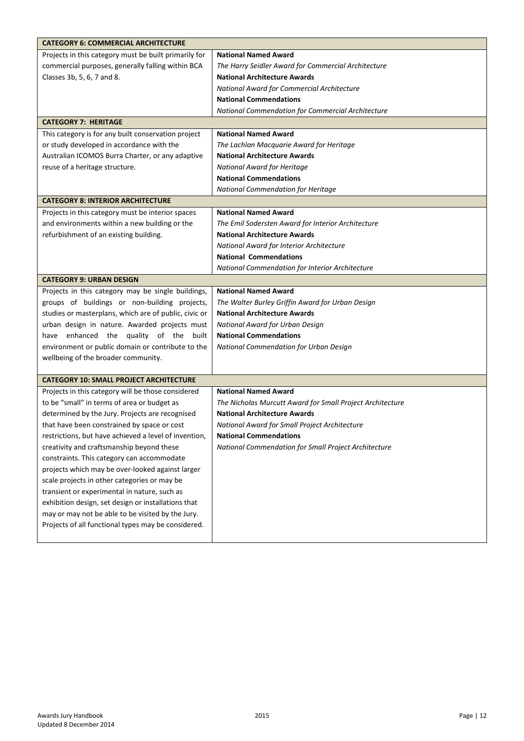| <b>CATEGORY 6: COMMERCIAL ARCHITECTURE</b>            |                                                           |  |  |
|-------------------------------------------------------|-----------------------------------------------------------|--|--|
| Projects in this category must be built primarily for | <b>National Named Award</b>                               |  |  |
| commercial purposes, generally falling within BCA     | The Harry Seidler Award for Commercial Architecture       |  |  |
| Classes 3b, 5, 6, 7 and 8.                            | <b>National Architecture Awards</b>                       |  |  |
|                                                       | National Award for Commercial Architecture                |  |  |
|                                                       | <b>National Commendations</b>                             |  |  |
|                                                       | National Commendation for Commercial Architecture         |  |  |
| <b>CATEGORY 7: HERITAGE</b>                           |                                                           |  |  |
| This category is for any built conservation project   | <b>National Named Award</b>                               |  |  |
| or study developed in accordance with the             | The Lachlan Macquarie Award for Heritage                  |  |  |
| Australian ICOMOS Burra Charter, or any adaptive      | <b>National Architecture Awards</b>                       |  |  |
| reuse of a heritage structure.                        | National Award for Heritage                               |  |  |
|                                                       | <b>National Commendations</b>                             |  |  |
|                                                       | National Commendation for Heritage                        |  |  |
| <b>CATEGORY 8: INTERIOR ARCHITECTURE</b>              |                                                           |  |  |
| Projects in this category must be interior spaces     | <b>National Named Award</b>                               |  |  |
| and environments within a new building or the         | The Emil Sodersten Award for Interior Architecture        |  |  |
| refurbishment of an existing building.                | <b>National Architecture Awards</b>                       |  |  |
|                                                       | National Award for Interior Architecture                  |  |  |
|                                                       | <b>National Commendations</b>                             |  |  |
|                                                       | National Commendation for Interior Architecture           |  |  |
| <b>CATEGORY 9: URBAN DESIGN</b>                       |                                                           |  |  |
| Projects in this category may be single buildings,    | <b>National Named Award</b>                               |  |  |
| groups of buildings or non-building projects,         | The Walter Burley Griffin Award for Urban Design          |  |  |
| studies or masterplans, which are of public, civic or | <b>National Architecture Awards</b>                       |  |  |
| urban design in nature. Awarded projects must         | National Award for Urban Design                           |  |  |
| have enhanced the quality of the<br>built             | <b>National Commendations</b>                             |  |  |
| environment or public domain or contribute to the     | National Commendation for Urban Design                    |  |  |
| wellbeing of the broader community.                   |                                                           |  |  |
|                                                       |                                                           |  |  |
| <b>CATEGORY 10: SMALL PROJECT ARCHITECTURE</b>        |                                                           |  |  |
| Projects in this category will be those considered    | <b>National Named Award</b>                               |  |  |
| to be "small" in terms of area or budget as           | The Nicholas Murcutt Award for Small Project Architecture |  |  |
| determined by the Jury. Projects are recognised       | <b>National Architecture Awards</b>                       |  |  |
| that have been constrained by space or cost           | National Award for Small Project Architecture             |  |  |
| restrictions, but have achieved a level of invention, | <b>National Commendations</b>                             |  |  |
| creativity and craftsmanship beyond these             | National Commendation for Small Project Architecture      |  |  |
| constraints. This category can accommodate            |                                                           |  |  |
| projects which may be over-looked against larger      |                                                           |  |  |
| scale projects in other categories or may be          |                                                           |  |  |
| transient or experimental in nature, such as          |                                                           |  |  |
| exhibition design, set design or installations that   |                                                           |  |  |
| may or may not be able to be visited by the Jury.     |                                                           |  |  |
| Projects of all functional types may be considered.   |                                                           |  |  |
|                                                       |                                                           |  |  |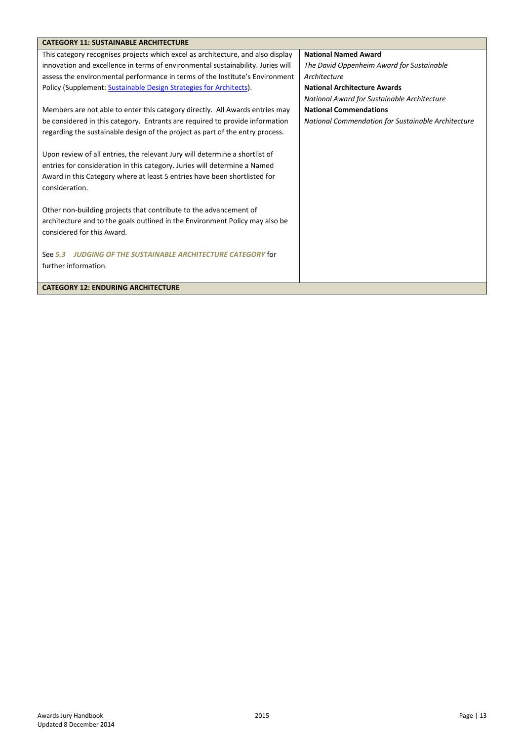| <b>CATEGORY 11: SUSTAINABLE ARCHITECTURE</b>                                    |                                                    |
|---------------------------------------------------------------------------------|----------------------------------------------------|
| This category recognises projects which excel as architecture, and also display | <b>National Named Award</b>                        |
| innovation and excellence in terms of environmental sustainability. Juries will | The David Oppenheim Award for Sustainable          |
| assess the environmental performance in terms of the Institute's Environment    | Architecture                                       |
| Policy (Supplement: Sustainable Design Strategies for Architects).              | <b>National Architecture Awards</b>                |
|                                                                                 | National Award for Sustainable Architecture        |
| Members are not able to enter this category directly. All Awards entries may    | <b>National Commendations</b>                      |
| be considered in this category. Entrants are required to provide information    | National Commendation for Sustainable Architecture |
| regarding the sustainable design of the project as part of the entry process.   |                                                    |
|                                                                                 |                                                    |
| Upon review of all entries, the relevant Jury will determine a shortlist of     |                                                    |
| entries for consideration in this category. Juries will determine a Named       |                                                    |
| Award in this Category where at least 5 entries have been shortlisted for       |                                                    |
| consideration.                                                                  |                                                    |
|                                                                                 |                                                    |
| Other non-building projects that contribute to the advancement of               |                                                    |
| architecture and to the goals outlined in the Environment Policy may also be    |                                                    |
| considered for this Award.                                                      |                                                    |
|                                                                                 |                                                    |
| <b>JUDGING OF THE SUSTAINABLE ARCHITECTURE CATEGORY for</b><br>See 5.3          |                                                    |
| further information.                                                            |                                                    |
|                                                                                 |                                                    |
| <b>CATEGORY 12: ENDURING ARCHITECTURE</b>                                       |                                                    |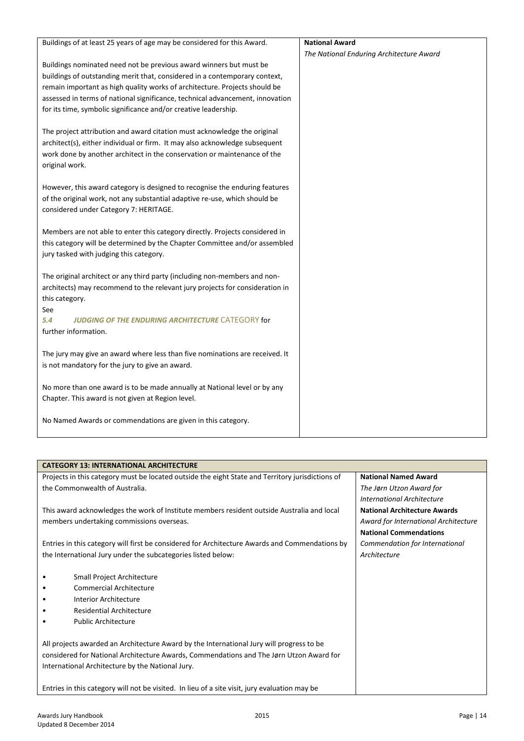| Buildings of at least 25 years of age may be considered for this Award.       | <b>National Award</b>                    |
|-------------------------------------------------------------------------------|------------------------------------------|
|                                                                               | The National Enduring Architecture Award |
| Buildings nominated need not be previous award winners but must be            |                                          |
| buildings of outstanding merit that, considered in a contemporary context,    |                                          |
| remain important as high quality works of architecture. Projects should be    |                                          |
| assessed in terms of national significance, technical advancement, innovation |                                          |
| for its time, symbolic significance and/or creative leadership.               |                                          |
| The project attribution and award citation must acknowledge the original      |                                          |
| architect(s), either individual or firm. It may also acknowledge subsequent   |                                          |
| work done by another architect in the conservation or maintenance of the      |                                          |
| original work.                                                                |                                          |
| However, this award category is designed to recognise the enduring features   |                                          |
| of the original work, not any substantial adaptive re-use, which should be    |                                          |
| considered under Category 7: HERITAGE.                                        |                                          |
|                                                                               |                                          |
| Members are not able to enter this category directly. Projects considered in  |                                          |
| this category will be determined by the Chapter Committee and/or assembled    |                                          |
| jury tasked with judging this category.                                       |                                          |
| The original architect or any third party (including non-members and non-     |                                          |
| architects) may recommend to the relevant jury projects for consideration in  |                                          |
| this category.                                                                |                                          |
| See                                                                           |                                          |
| 5.4<br><b>JUDGING OF THE ENDURING ARCHITECTURE CATEGORY for</b>               |                                          |
| further information.                                                          |                                          |
| The jury may give an award where less than five nominations are received. It  |                                          |
| is not mandatory for the jury to give an award.                               |                                          |
|                                                                               |                                          |
| No more than one award is to be made annually at National level or by any     |                                          |
| Chapter. This award is not given at Region level.                             |                                          |
| No Named Awards or commendations are given in this category.                  |                                          |
|                                                                               |                                          |

| <b>CATEGORY 13: INTERNATIONAL ARCHITECTURE</b>                                                   |                                      |  |
|--------------------------------------------------------------------------------------------------|--------------------------------------|--|
| Projects in this category must be located outside the eight State and Territory jurisdictions of | <b>National Named Award</b>          |  |
| the Commonwealth of Australia.                                                                   | The Jørn Utzon Award for             |  |
|                                                                                                  | International Architecture           |  |
| This award acknowledges the work of Institute members resident outside Australia and local       | <b>National Architecture Awards</b>  |  |
| members undertaking commissions overseas.                                                        | Award for International Architecture |  |
|                                                                                                  | <b>National Commendations</b>        |  |
| Entries in this category will first be considered for Architecture Awards and Commendations by   | Commendation for International       |  |
| the International Jury under the subcategories listed below:<br>Architecture                     |                                      |  |
|                                                                                                  |                                      |  |
| Small Project Architecture                                                                       |                                      |  |
| <b>Commercial Architecture</b>                                                                   |                                      |  |
| Interior Architecture                                                                            |                                      |  |
| Residential Architecture                                                                         |                                      |  |
| <b>Public Architecture</b>                                                                       |                                      |  |
|                                                                                                  |                                      |  |
| All projects awarded an Architecture Award by the International Jury will progress to be         |                                      |  |
| considered for National Architecture Awards, Commendations and The Jørn Utzon Award for          |                                      |  |
| International Architecture by the National Jury.                                                 |                                      |  |
|                                                                                                  |                                      |  |
| Entries in this category will not be visited. In lieu of a site visit, jury evaluation may be    |                                      |  |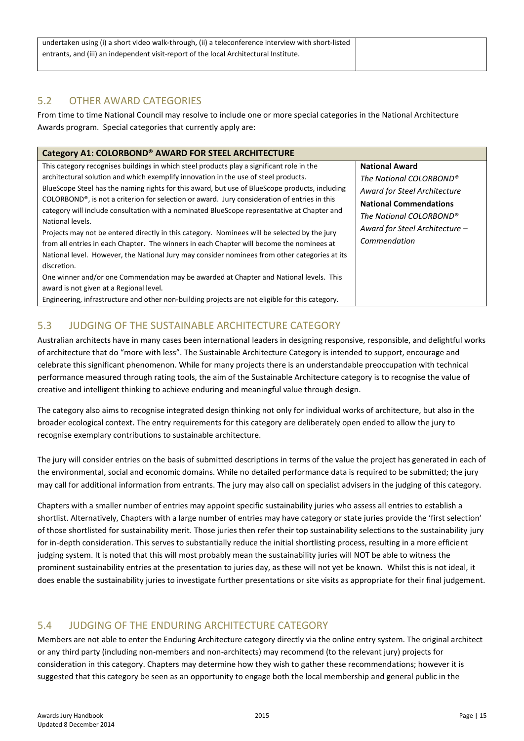| undertaken using (i) a short video walk-through, (ii) a teleconference interview with short-listed |  |
|----------------------------------------------------------------------------------------------------|--|
| entrants, and (iii) an independent visit-report of the local Architectural Institute.              |  |
|                                                                                                    |  |

### <span id="page-14-0"></span>5.2 OTHER AWARD CATEGORIES

From time to time National Council may resolve to include one or more special categories in the National Architecture Awards program. Special categories that currently apply are:

| Category A1: COLORBOND <sup>®</sup> AWARD FOR STEEL ARCHITECTURE                                |                                |
|-------------------------------------------------------------------------------------------------|--------------------------------|
| This category recognises buildings in which steel products play a significant role in the       | <b>National Award</b>          |
| architectural solution and which exemplify innovation in the use of steel products.             | The National COLORBOND®        |
| BlueScope Steel has the naming rights for this award, but use of BlueScope products, including  | Award for Steel Architecture   |
| COLORBOND®, is not a criterion for selection or award. Jury consideration of entries in this    | <b>National Commendations</b>  |
| category will include consultation with a nominated BlueScope representative at Chapter and     | The National COLORBOND®        |
| National levels.                                                                                | Award for Steel Architecture - |
| Projects may not be entered directly in this category. Nominees will be selected by the jury    | Commendation                   |
| from all entries in each Chapter. The winners in each Chapter will become the nominees at       |                                |
| National level. However, the National Jury may consider nominees from other categories at its   |                                |
| discretion.                                                                                     |                                |
| One winner and/or one Commendation may be awarded at Chapter and National levels. This          |                                |
| award is not given at a Regional level.                                                         |                                |
| Engineering, infrastructure and other non-building projects are not eligible for this category. |                                |

### <span id="page-14-1"></span>5.3 JUDGING OF THE SUSTAINABLE ARCHITECTURE CATEGORY

Australian architects have in many cases been international leaders in designing responsive, responsible, and delightful works of architecture that do "more with less". The Sustainable Architecture Category is intended to support, encourage and celebrate this significant phenomenon. While for many projects there is an understandable preoccupation with technical performance measured through rating tools, the aim of the Sustainable Architecture category is to recognise the value of creative and intelligent thinking to achieve enduring and meaningful value through design.

<span id="page-14-4"></span>The category also aims to recognise integrated design thinking not only for individual works of architecture, but also in the broader ecological context. The entry requirements for this category are deliberately open ended to allow the jury to recognise exemplary contributions to sustainable architecture.

The jury will consider entries on the basis of submitted descriptions in terms of the value the project has generated in each of the environmental, social and economic domains. While no detailed performance data is required to be submitted; the jury may call for additional information from entrants. The jury may also call on specialist advisers in the judging of this category.

Chapters with a smaller number of entries may appoint specific sustainability juries who assess all entries to establish a shortlist. Alternatively, Chapters with a large number of entries may have category or state juries provide the 'first selection' of those shortlisted for sustainability merit. Those juries then refer their top sustainability selections to the sustainability jury for in-depth consideration. This serves to substantially reduce the initial shortlisting process, resulting in a more efficient judging system. It is noted that this will most probably mean the sustainability juries will NOT be able to witness the prominent sustainability entries at the presentation to juries day, as these will not yet be known. Whilst this is not ideal, it does enable the sustainability juries to investigate further presentations or site visits as appropriate for their final judgement.

# <span id="page-14-3"></span><span id="page-14-2"></span>5.4 JUDGING OF THE ENDURING ARCHITECTURE CATEGORY

Members are not able to enter the Enduring Architecture category directly via the online entry system. The original architect or any third party (including non-members and non-architects) may recommend (to the relevant jury) projects for consideration in this category. Chapters may determine how they wish to gather these recommendations; however it is suggested that this category be seen as an opportunity to engage both the local membership and general public in the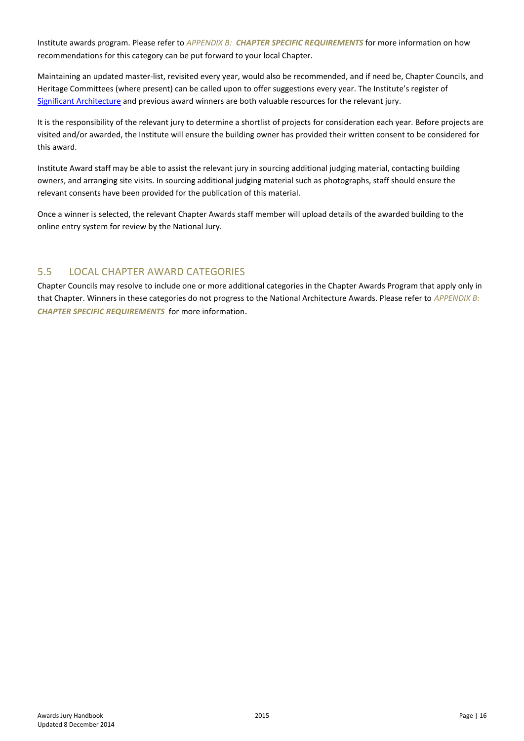Institute awards program. Please refer to *APPENDIX B: [CHAPTER SPECIFIC](#page-21-0) REQUIREMENTS* for more information on how recommendations for this category can be put forward to your local Chapter.

Maintaining an updated master-list, revisited every year, would also be recommended, and if need be, Chapter Councils, and Heritage Committees (where present) can be called upon to offer suggestions every year. The Institute's register of [Significant Architecture](http://www.architecture.com.au/architecture/national/notable-buildings) and previous award winners are both valuable resources for the relevant jury.

It is the responsibility of the relevant jury to determine a shortlist of projects for consideration each year. Before projects are visited and/or awarded, the Institute will ensure the building owner has provided their written consent to be considered for this award.

Institute Award staff may be able to assist the relevant jury in sourcing additional judging material, contacting building owners, and arranging site visits. In sourcing additional judging material such as photographs, staff should ensure the relevant consents have been provided for the publication of this material.

Once a winner is selected, the relevant Chapter Awards staff member will upload details of the awarded building to the online entry system for review by the National Jury.

### <span id="page-15-0"></span>5.5 LOCAL CHAPTER AWARD CATEGORIES

Chapter Councils may resolve to include one or more additional categories in the Chapter Awards Program that apply only in that Chapter. Winners in these categories do not progress to the National Architecture Awards. Please refer to *[APPENDIX B:](#page-21-0) [CHAPTER SPECIFIC](#page-21-0) REQUIREMENTS* for more information.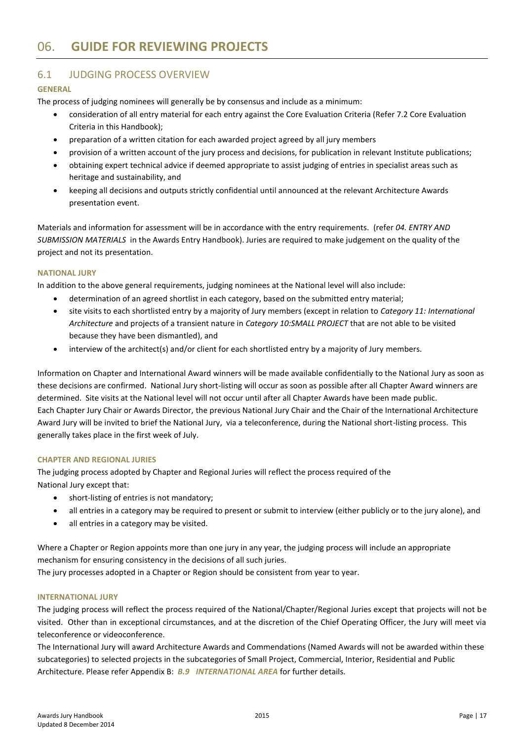# <span id="page-16-0"></span>06. **GUIDE FOR REVIEWING PROJECTS**

### <span id="page-16-1"></span>6.1 JUDGING PROCESS OVERVIEW

### **GENERAL**

The process of judging nominees will generally be by consensus and include as a minimum:

- consideration of all entry material for each entry against the Core Evaluation Criteria (Refer 7.2 Core Evaluation Criteria in this Handbook);
- preparation of a written citation for each awarded project agreed by all jury members
- provision of a written account of the jury process and decisions, for publication in relevant Institute publications;
- obtaining expert technical advice if deemed appropriate to assist judging of entries in specialist areas such as heritage and sustainability, and
- keeping all decisions and outputs strictly confidential until announced at the relevant Architecture Awards presentation event.

Materials and information for assessment will be in accordance with the entry requirements. (refer *04. ENTRY AND SUBMISSION MATERIALS* in the Awards Entry Handbook). Juries are required to make judgement on the quality of the project and not its presentation.

### **NATIONAL JURY**

In addition to the above general requirements, judging nominees at the National level will also include:

- determination of an agreed shortlist in each category, based on the submitted entry material;
- site visits to each shortlisted entry by a majority of Jury members (except in relation to *Category 11: International Architecture* and projects of a transient nature in *Category 10:SMALL PROJECT* that are not able to be visited because they have been dismantled), and
- interview of the architect(s) and/or client for each shortlisted entry by a majority of Jury members.

Information on Chapter and International Award winners will be made available confidentially to the National Jury as soon as these decisions are confirmed. National Jury short-listing will occur as soon as possible after all Chapter Award winners are determined. Site visits at the National level will not occur until after all Chapter Awards have been made public. Each Chapter Jury Chair or Awards Director, the previous National Jury Chair and the Chair of the International Architecture Award Jury will be invited to brief the National Jury, via a teleconference, during the National short-listing process. This generally takes place in the first week of July.

### **CHAPTER AND REGIONAL JURIES**

The judging process adopted by Chapter and Regional Juries will reflect the process required of the National Jury except that:

- short-listing of entries is not mandatory;
- all entries in a category may be required to present or submit to interview (either publicly or to the jury alone), and
- all entries in a category may be visited.

Where a Chapter or Region appoints more than one jury in any year, the judging process will include an appropriate mechanism for ensuring consistency in the decisions of all such juries.

The jury processes adopted in a Chapter or Region should be consistent from year to year.

### **INTERNATIONAL JURY**

The judging process will reflect the process required of the National/Chapter/Regional Juries except that projects will not be visited. Other than in exceptional circumstances, and at the discretion of the Chief Operating Officer, the Jury will meet via teleconference or videoconference.

The International Jury will award Architecture Awards and Commendations (Named Awards will not be awarded within these subcategories) to selected projects in the subcategories of Small Project, Commercial, Interior, Residential and Public Architecture. Please refer Appendix B: *B.9 [INTERNATIONAL AREA](#page-48-0)* for further details.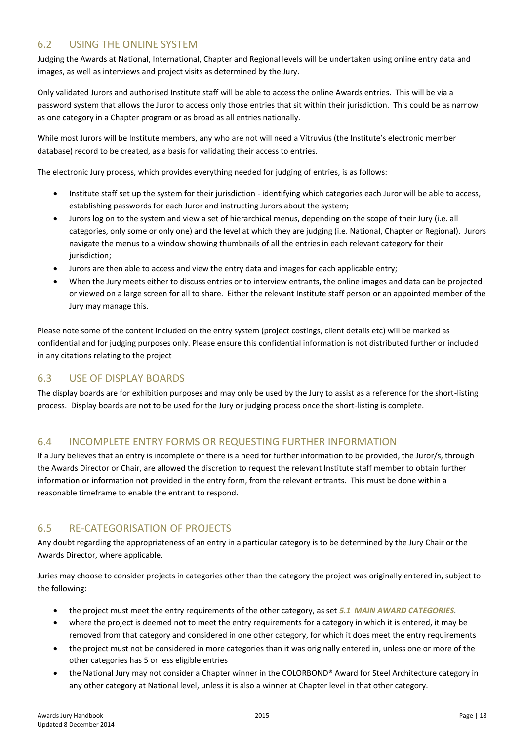### <span id="page-17-0"></span>6.2 USING THE ONLINE SYSTEM

Judging the Awards at National, International, Chapter and Regional levels will be undertaken using online entry data and images, as well as interviews and project visits as determined by the Jury.

Only validated Jurors and authorised Institute staff will be able to access the online Awards entries. This will be via a password system that allows the Juror to access only those entries that sit within their jurisdiction. This could be as narrow as one category in a Chapter program or as broad as all entries nationally.

While most Jurors will be Institute members, any who are not will need a Vitruvius (the Institute's electronic member database) record to be created, as a basis for validating their access to entries.

The electronic Jury process, which provides everything needed for judging of entries, is as follows:

- Institute staff set up the system for their jurisdiction identifying which categories each Juror will be able to access, establishing passwords for each Juror and instructing Jurors about the system;
- Jurors log on to the system and view a set of hierarchical menus, depending on the scope of their Jury (i.e. all categories, only some or only one) and the level at which they are judging (i.e. National, Chapter or Regional). Jurors navigate the menus to a window showing thumbnails of all the entries in each relevant category for their jurisdiction;
- Jurors are then able to access and view the entry data and images for each applicable entry;
- When the Jury meets either to discuss entries or to interview entrants, the online images and data can be projected or viewed on a large screen for all to share. Either the relevant Institute staff person or an appointed member of the Jury may manage this.

Please note some of the content included on the entry system (project costings, client details etc) will be marked as confidential and for judging purposes only. Please ensure this confidential information is not distributed further or included in any citations relating to the project

## <span id="page-17-1"></span>6.3 USE OF DISPLAY BOARDS

The display boards are for exhibition purposes and may only be used by the Jury to assist as a reference for the short-listing process. Display boards are not to be used for the Jury or judging process once the short-listing is complete.

### <span id="page-17-2"></span>6.4 INCOMPLETE ENTRY FORMS OR REQUESTING FURTHER INFORMATION

If a Jury believes that an entry is incomplete or there is a need for further information to be provided, the Juror/s, through the Awards Director or Chair, are allowed the discretion to request the relevant Institute staff member to obtain further information or information not provided in the entry form, from the relevant entrants. This must be done within a reasonable timeframe to enable the entrant to respond.

### <span id="page-17-3"></span>6.5 RE-CATEGORISATION OF PROJECTS

Any doubt regarding the appropriateness of an entry in a particular category is to be determined by the Jury Chair or the Awards Director, where applicable.

Juries may choose to consider projects in categories other than the category the project was originally entered in, subject to the following:

- the project must meet the entry requirements of the other category, as set *5.1 [MAIN AWARD CATEGORIES](#page-10-1).*
- where the project is deemed not to meet the entry requirements for a category in which it is entered, it may be removed from that category and considered in one other category, for which it does meet the entry requirements
- the project must not be considered in more categories than it was originally entered in, unless one or more of the other categories has 5 or less eligible entries
- the National Jury may not consider a Chapter winner in the COLORBOND® Award for Steel Architecture category in any other category at National level, unless it is also a winner at Chapter level in that other category.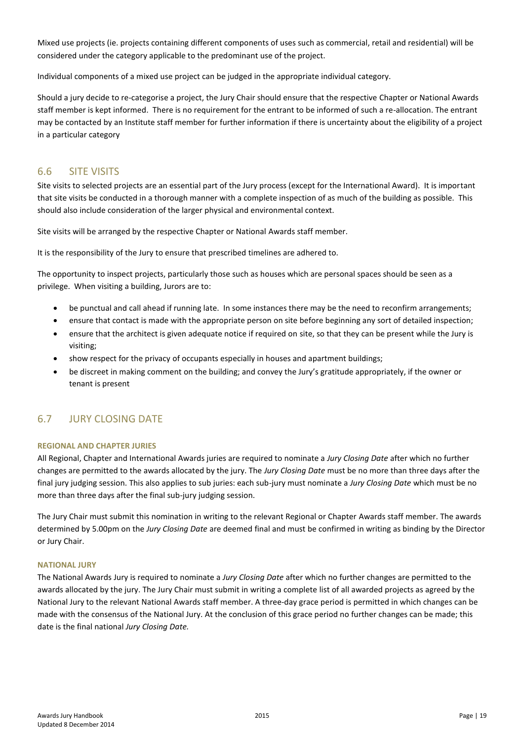Mixed use projects (ie. projects containing different components of uses such as commercial, retail and residential) will be considered under the category applicable to the predominant use of the project.

Individual components of a mixed use project can be judged in the appropriate individual category.

Should a jury decide to re-categorise a project, the Jury Chair should ensure that the respective Chapter or National Awards staff member is kept informed. There is no requirement for the entrant to be informed of such a re-allocation. The entrant may be contacted by an Institute staff member for further information if there is uncertainty about the eligibility of a project in a particular category

### <span id="page-18-0"></span>6.6 SITE VISITS

Site visits to selected projects are an essential part of the Jury process (except for the International Award). It is important that site visits be conducted in a thorough manner with a complete inspection of as much of the building as possible. This should also include consideration of the larger physical and environmental context.

Site visits will be arranged by the respective Chapter or National Awards staff member.

It is the responsibility of the Jury to ensure that prescribed timelines are adhered to.

The opportunity to inspect projects, particularly those such as houses which are personal spaces should be seen as a privilege. When visiting a building, Jurors are to:

- be punctual and call ahead if running late. In some instances there may be the need to reconfirm arrangements;
- ensure that contact is made with the appropriate person on site before beginning any sort of detailed inspection;
- ensure that the architect is given adequate notice if required on site, so that they can be present while the Jury is visiting;
- show respect for the privacy of occupants especially in houses and apartment buildings;
- be discreet in making comment on the building; and convey the Jury's gratitude appropriately, if the owner or tenant is present

### <span id="page-18-1"></span>6.7 JURY CLOSING DATE

### **REGIONAL AND CHAPTER JURIES**

All Regional, Chapter and International Awards juries are required to nominate a *Jury Closing Date* after which no further changes are permitted to the awards allocated by the jury. The *Jury Closing Date* must be no more than three days after the final jury judging session. This also applies to sub juries: each sub-jury must nominate a *Jury Closing Date* which must be no more than three days after the final sub-jury judging session.

The Jury Chair must submit this nomination in writing to the relevant Regional or Chapter Awards staff member. The awards determined by 5.00pm on the *Jury Closing Date* are deemed final and must be confirmed in writing as binding by the Director or Jury Chair.

### **NATIONAL JURY**

The National Awards Jury is required to nominate a *Jury Closing Date* after which no further changes are permitted to the awards allocated by the jury. The Jury Chair must submit in writing a complete list of all awarded projects as agreed by the National Jury to the relevant National Awards staff member. A three-day grace period is permitted in which changes can be made with the consensus of the National Jury. At the conclusion of this grace period no further changes can be made; this date is the final national *Jury Closing Date.*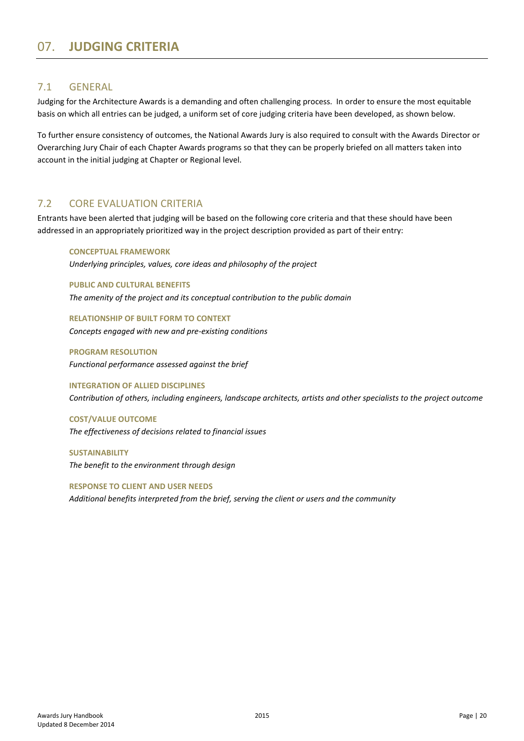### <span id="page-19-1"></span><span id="page-19-0"></span>7.1 GENERAL

Judging for the Architecture Awards is a demanding and often challenging process. In order to ensure the most equitable basis on which all entries can be judged, a uniform set of core judging criteria have been developed, as shown below.

To further ensure consistency of outcomes, the National Awards Jury is also required to consult with the Awards Director or Overarching Jury Chair of each Chapter Awards programs so that they can be properly briefed on all matters taken into account in the initial judging at Chapter or Regional level.

### <span id="page-19-2"></span>7.2 CORE EVALUATION CRITERIA

Entrants have been alerted that judging will be based on the following core criteria and that these should have been addressed in an appropriately prioritized way in the project description provided as part of their entry:

### **CONCEPTUAL FRAMEWORK**

*Underlying principles, values, core ideas and philosophy of the project*

**PUBLIC AND CULTURAL BENEFITS**

*The amenity of the project and its conceptual contribution to the public domain*

**RELATIONSHIP OF BUILT FORM TO CONTEXT** *Concepts engaged with new and pre-existing conditions*

**PROGRAM RESOLUTION** *Functional performance assessed against the brief*

**INTEGRATION OF ALLIED DISCIPLINES** *Contribution of others, including engineers, landscape architects, artists and other specialists to the project outcome*

**COST/VALUE OUTCOME** *The effectiveness of decisions related to financial issues*

**SUSTAINABILITY** *The benefit to the environment through design*

**RESPONSE TO CLIENT AND USER NEEDS** *Additional benefits interpreted from the brief, serving the client or users and the community*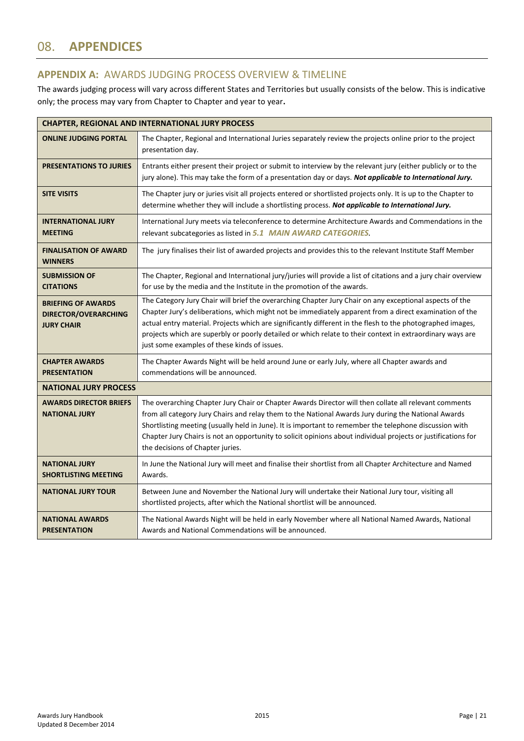# <span id="page-20-0"></span>08. **APPENDICES**

### <span id="page-20-1"></span>**APPENDIX A:** AWARDS JUDGING PROCESS OVERVIEW & TIMELINE

The awards judging process will vary across different States and Territories but usually consists of the below. This is indicative only; the process may vary from Chapter to Chapter and year to year**.**

| <b>CHAPTER, REGIONAL AND INTERNATIONAL JURY PROCESS</b>                |                                                                                                                                                                                                                                                                                                                                                                                                                                                                                              |  |
|------------------------------------------------------------------------|----------------------------------------------------------------------------------------------------------------------------------------------------------------------------------------------------------------------------------------------------------------------------------------------------------------------------------------------------------------------------------------------------------------------------------------------------------------------------------------------|--|
| <b>ONLINE JUDGING PORTAL</b>                                           | The Chapter, Regional and International Juries separately review the projects online prior to the project<br>presentation day.                                                                                                                                                                                                                                                                                                                                                               |  |
| <b>PRESENTATIONS TO JURIES</b>                                         | Entrants either present their project or submit to interview by the relevant jury (either publicly or to the<br>jury alone). This may take the form of a presentation day or days. Not applicable to International Jury.                                                                                                                                                                                                                                                                     |  |
| <b>SITE VISITS</b>                                                     | The Chapter jury or juries visit all projects entered or shortlisted projects only. It is up to the Chapter to<br>determine whether they will include a shortlisting process. Not applicable to International Jury.                                                                                                                                                                                                                                                                          |  |
| <b>INTERNATIONAL JURY</b><br><b>MEETING</b>                            | International Jury meets via teleconference to determine Architecture Awards and Commendations in the<br>relevant subcategories as listed in 5.1 MAIN AWARD CATEGORIES.                                                                                                                                                                                                                                                                                                                      |  |
| <b>FINALISATION OF AWARD</b><br><b>WINNERS</b>                         | The jury finalises their list of awarded projects and provides this to the relevant Institute Staff Member                                                                                                                                                                                                                                                                                                                                                                                   |  |
| <b>SUBMISSION OF</b><br><b>CITATIONS</b>                               | The Chapter, Regional and International jury/juries will provide a list of citations and a jury chair overview<br>for use by the media and the Institute in the promotion of the awards.                                                                                                                                                                                                                                                                                                     |  |
| <b>BRIEFING OF AWARDS</b><br>DIRECTOR/OVERARCHING<br><b>JURY CHAIR</b> | The Category Jury Chair will brief the overarching Chapter Jury Chair on any exceptional aspects of the<br>Chapter Jury's deliberations, which might not be immediately apparent from a direct examination of the<br>actual entry material. Projects which are significantly different in the flesh to the photographed images,<br>projects which are superbly or poorly detailed or which relate to their context in extraordinary ways are<br>just some examples of these kinds of issues. |  |
| <b>CHAPTER AWARDS</b><br><b>PRESENTATION</b>                           | The Chapter Awards Night will be held around June or early July, where all Chapter awards and<br>commendations will be announced.                                                                                                                                                                                                                                                                                                                                                            |  |
| <b>NATIONAL JURY PROCESS</b>                                           |                                                                                                                                                                                                                                                                                                                                                                                                                                                                                              |  |
| <b>AWARDS DIRECTOR BRIEFS</b><br><b>NATIONAL JURY</b>                  | The overarching Chapter Jury Chair or Chapter Awards Director will then collate all relevant comments<br>from all category Jury Chairs and relay them to the National Awards Jury during the National Awards<br>Shortlisting meeting (usually held in June). It is important to remember the telephone discussion with<br>Chapter Jury Chairs is not an opportunity to solicit opinions about individual projects or justifications for<br>the decisions of Chapter juries.                  |  |
| <b>NATIONAL JURY</b><br><b>SHORTLISTING MEETING</b>                    | In June the National Jury will meet and finalise their shortlist from all Chapter Architecture and Named<br>Awards.                                                                                                                                                                                                                                                                                                                                                                          |  |
| <b>NATIONAL JURY TOUR</b>                                              | Between June and November the National Jury will undertake their National Jury tour, visiting all<br>shortlisted projects, after which the National shortlist will be announced.                                                                                                                                                                                                                                                                                                             |  |
| <b>NATIONAL AWARDS</b><br><b>PRESENTATION</b>                          | The National Awards Night will be held in early November where all National Named Awards, National<br>Awards and National Commendations will be announced.                                                                                                                                                                                                                                                                                                                                   |  |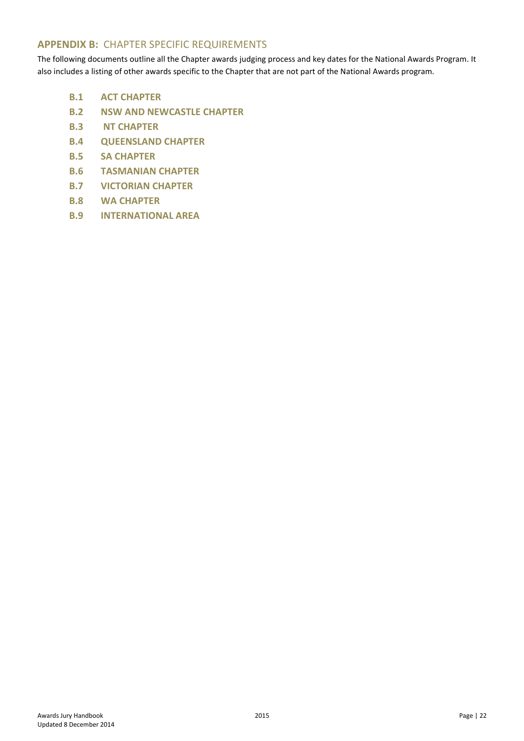### <span id="page-21-0"></span>**APPENDIX B:** CHAPTER SPECIFIC REQUIREMENTS

The following documents outline all the Chapter awards judging process and key dates for the National Awards Program. It also includes a listing of other awards specific to the Chapter that are not part of the National Awards program.

- **B.1 ACT [CHAPTER](#page-22-0)**
- **B.2 [NSW AND NEWCASTLE](#page-25-0) CHAPTER**
- **B.3 NT [CHAPTER](#page-30-0)**
- **B.4 [QUEENSLAND](#page-33-0) CHAPTER**
- **B.5 SA [CHAPTER](#page-36-0)**
- **B.6 [TASMANIAN](#page-39-0) CHAPTER**
- **[B.7 VICTORIAN CHAPTER](#page-42-0)**
- **B.8 WA [CHAPTER](#page-45-0)**
- **B.9 [INTERNATIONAL AREA](#page-48-0)**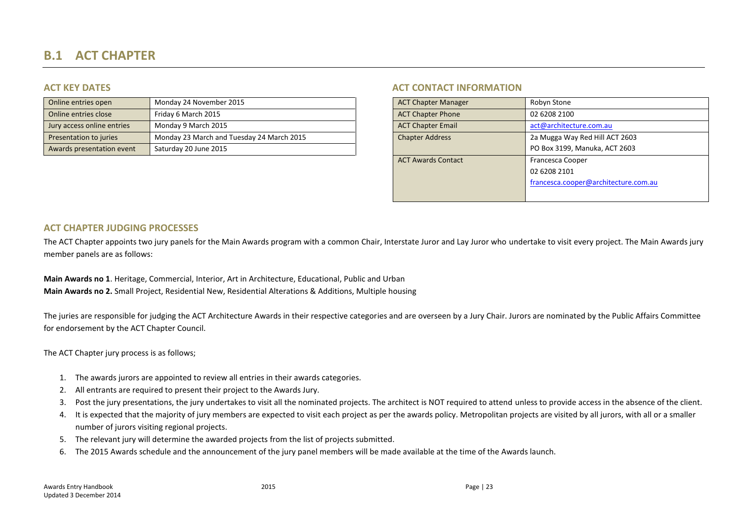# **B.1 ACT CHAPTER**

| Online entries open        | Monday 24 November 2015                   | <b>ACT Chapter Manager</b> | Robyn Stone                    |
|----------------------------|-------------------------------------------|----------------------------|--------------------------------|
| Online entries close       | Friday 6 March 2015                       | <b>ACT Chapter Phone</b>   | 02 6208 2100                   |
| Jury access online entries | Monday 9 March 2015                       | <b>ACT Chapter Email</b>   | act@architecture.com.au        |
| Presentation to juries     | Monday 23 March and Tuesday 24 March 2015 | <b>Chapter Address</b>     | 2a Mugga Way Red Hill ACT 2603 |
| Awards presentation event  | Saturday 20 June 2015                     |                            | PO Box 3199, Manuka, ACT 2603  |

### **ACT KEY DATES ACT CONTACT INFORMATION**

| <b>ACT Chapter Manager</b> | Robyn Stone                          |
|----------------------------|--------------------------------------|
| <b>ACT Chapter Phone</b>   | 02 6208 2100                         |
| <b>ACT Chapter Email</b>   | act@architecture.com.au              |
| <b>Chapter Address</b>     | 2a Mugga Way Red Hill ACT 2603       |
|                            | PO Box 3199, Manuka, ACT 2603        |
| <b>ACT Awards Contact</b>  | Francesca Cooper                     |
|                            | 02 6208 2101                         |
|                            | francesca.cooper@architecture.com.au |
|                            |                                      |
|                            |                                      |

### **ACT CHAPTER JUDGING PROCESSES**

<span id="page-22-0"></span>The ACT Chapter appoints two jury panels for the Main Awards program with a common Chair, Interstate Juror and Lay Juror who undertake to visit every project. The Main Awards jury member panels are as follows:

**Main Awards no 1**. Heritage, Commercial, Interior, Art in Architecture, Educational, Public and Urban **Main Awards no 2.** Small Project, Residential New, Residential Alterations & Additions, Multiple housing

The juries are responsible for judging the ACT Architecture Awards in their respective categories and are overseen by a Jury Chair. Jurors are nominated by the Public Affairs Committee for endorsement by the ACT Chapter Council.

The ACT Chapter jury process is as follows;

- 1. The awards jurors are appointed to review all entries in their awards categories.
- 2. All entrants are required to present their project to the Awards Jury.
- 3. Post the jury presentations, the jury undertakes to visit all the nominated projects. The architect is NOT required to attend unless to provide access in the absence of the client.
- 4. It is expected that the majority of jury members are expected to visit each project as per the awards policy. Metropolitan projects are visited by all jurors, with all or a smaller number of jurors visiting regional projects.
- 5. The relevant jury will determine the awarded projects from the list of projects submitted.
- 6. The 2015 Awards schedule and the announcement of the jury panel members will be made available at the time of the Awards launch.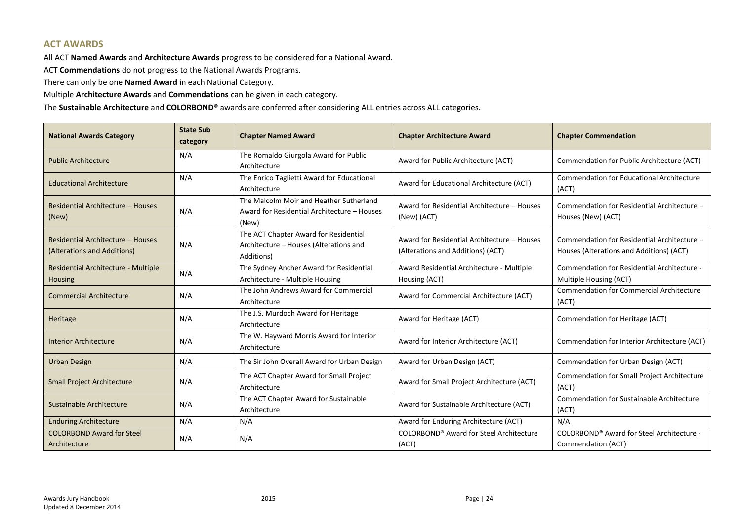### **ACT AWARDS**

All ACT **Named Awards** and **Architecture Awards** progress to be considered for a National Award.

ACT **Commendations** do not progress to the National Awards Programs.

There can only be one **Named Award** in each National Category.

Multiple **Architecture Awards** and **Commendations** can be given in each category.

The **Sustainable Architecture** and **COLORBOND®** awards are conferred after considering ALL entries across ALL categories.

| <b>National Awards Category</b>                                                                | <b>State Sub</b><br>category                                 | <b>Chapter Named Award</b>                                                                      | <b>Chapter Architecture Award</b>                                                | <b>Chapter Commendation</b>                                                             |  |
|------------------------------------------------------------------------------------------------|--------------------------------------------------------------|-------------------------------------------------------------------------------------------------|----------------------------------------------------------------------------------|-----------------------------------------------------------------------------------------|--|
| <b>Public Architecture</b>                                                                     | N/A                                                          | The Romaldo Giurgola Award for Public<br>Architecture                                           | Award for Public Architecture (ACT)                                              | Commendation for Public Architecture (ACT)                                              |  |
| <b>Educational Architecture</b>                                                                | N/A                                                          | The Enrico Taglietti Award for Educational<br>Architecture                                      | Award for Educational Architecture (ACT)                                         | <b>Commendation for Educational Architecture</b><br>(ACT)                               |  |
| Residential Architecture - Houses<br>(New)                                                     | N/A                                                          | The Malcolm Moir and Heather Sutherland<br>Award for Residential Architecture - Houses<br>(New) | Award for Residential Architecture - Houses<br>(New) (ACT)                       | Commendation for Residential Architecture -<br>Houses (New) (ACT)                       |  |
| Residential Architecture - Houses<br>(Alterations and Additions)                               | N/A                                                          | The ACT Chapter Award for Residential<br>Architecture - Houses (Alterations and<br>Additions)   | Award for Residential Architecture - Houses<br>(Alterations and Additions) (ACT) | Commendation for Residential Architecture -<br>Houses (Alterations and Additions) (ACT) |  |
| Residential Architecture - Multiple<br><b>Housing</b>                                          | N/A                                                          | The Sydney Ancher Award for Residential<br>Architecture - Multiple Housing                      | Award Residential Architecture - Multiple<br>Housing (ACT)                       | Commendation for Residential Architecture -<br>Multiple Housing (ACT)                   |  |
| The John Andrews Award for Commercial<br><b>Commercial Architecture</b><br>N/A<br>Architecture |                                                              | Award for Commercial Architecture (ACT)                                                         | <b>Commendation for Commercial Architecture</b><br>(ACT)                         |                                                                                         |  |
| Heritage                                                                                       | N/A                                                          | The J.S. Murdoch Award for Heritage<br>Architecture                                             | Award for Heritage (ACT)                                                         | Commendation for Heritage (ACT)                                                         |  |
| <b>Interior Architecture</b>                                                                   | N/A                                                          | The W. Hayward Morris Award for Interior<br>Architecture                                        | Award for Interior Architecture (ACT)                                            | Commendation for Interior Architecture (ACT)                                            |  |
| <b>Urban Design</b>                                                                            | N/A                                                          | The Sir John Overall Award for Urban Design                                                     | Award for Urban Design (ACT)                                                     | Commendation for Urban Design (ACT)                                                     |  |
| <b>Small Project Architecture</b>                                                              | N/A                                                          | The ACT Chapter Award for Small Project<br>Architecture                                         | Award for Small Project Architecture (ACT)                                       | Commendation for Small Project Architecture<br>(ACT)                                    |  |
| Sustainable Architecture                                                                       | The ACT Chapter Award for Sustainable<br>N/A<br>Architecture |                                                                                                 | Award for Sustainable Architecture (ACT)                                         | <b>Commendation for Sustainable Architecture</b><br>(ACT)                               |  |
| <b>Enduring Architecture</b>                                                                   | N/A<br>N/A                                                   |                                                                                                 | Award for Enduring Architecture (ACT)                                            | N/A                                                                                     |  |
| <b>COLORBOND Award for Steel</b><br>Architecture                                               | N/A                                                          | N/A                                                                                             | COLORBOND® Award for Steel Architecture<br>(ACT)                                 | COLORBOND® Award for Steel Architecture -<br>Commendation (ACT)                         |  |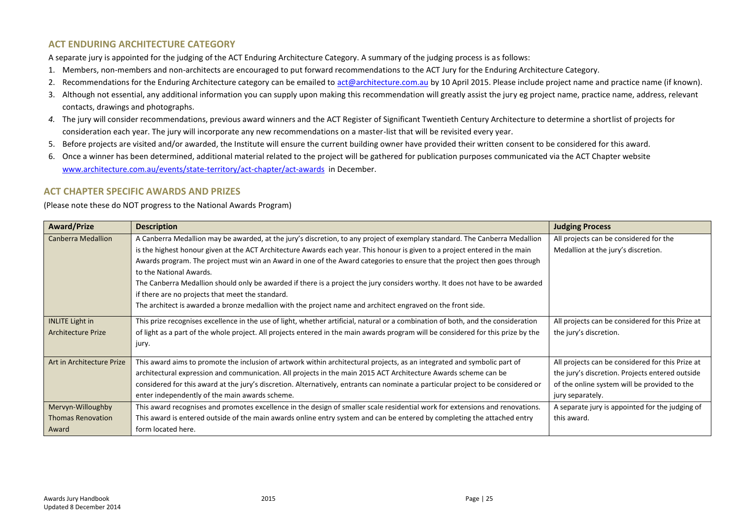### **ACT ENDURING ARCHITECTURE CATEGORY**

A separate jury is appointed for the judging of the ACT Enduring Architecture Category. A summary of the judging process is as follows:

- 1. Members, non-members and non-architects are encouraged to put forward recommendations to the ACT Jury for the Enduring Architecture Category.
- 2. Recommendations for the Enduring Architecture category can be emailed to [act@architecture.com.au](mailto:act@architecture.com.au) by 10 April 2015. Please include project name and practice name (if known).
- 3. Although not essential, any additional information you can supply upon making this recommendation will greatly assist the jury eg project name, practice name, address, relevant contacts, drawings and photographs.
- *4.* The jury will consider recommendations, previous award winners and the ACT Register of Significant Twentieth Century Architecture to determine a shortlist of projects for consideration each year. The jury will incorporate any new recommendations on a master-list that will be revisited every year.
- 5. Before projects are visited and/or awarded, the Institute will ensure the current building owner have provided their written consent to be considered for this award.
- 6. Once a winner has been determined, additional material related to the project will be gathered for publication purposes communicated via the ACT Chapter website [www.architecture.com.au/events/state-territory/act-chapter/act-awards](http://www.architecture.com.au/events/state-territory/act-chapter/act-awards) in December.

### **ACT CHAPTER SPECIFIC AWARDS AND PRIZES**

(Please note these do NOT progress to the National Awards Program)

| <b>Award/Prize</b>        | <b>Description</b>                                                                                                                | <b>Judging Process</b>                           |
|---------------------------|-----------------------------------------------------------------------------------------------------------------------------------|--------------------------------------------------|
| <b>Canberra Medallion</b> | A Canberra Medallion may be awarded, at the jury's discretion, to any project of exemplary standard. The Canberra Medallion       | All projects can be considered for the           |
|                           | is the highest honour given at the ACT Architecture Awards each year. This honour is given to a project entered in the main       | Medallion at the jury's discretion.              |
|                           | Awards program. The project must win an Award in one of the Award categories to ensure that the project then goes through         |                                                  |
|                           | to the National Awards.                                                                                                           |                                                  |
|                           | The Canberra Medallion should only be awarded if there is a project the jury considers worthy. It does not have to be awarded     |                                                  |
|                           | if there are no projects that meet the standard.                                                                                  |                                                  |
|                           | The architect is awarded a bronze medallion with the project name and architect engraved on the front side.                       |                                                  |
| <b>INLITE Light in</b>    | This prize recognises excellence in the use of light, whether artificial, natural or a combination of both, and the consideration | All projects can be considered for this Prize at |
| <b>Architecture Prize</b> | of light as a part of the whole project. All projects entered in the main awards program will be considered for this prize by the | the jury's discretion.                           |
|                           | jury.                                                                                                                             |                                                  |
| Art in Architecture Prize | This award aims to promote the inclusion of artwork within architectural projects, as an integrated and symbolic part of          | All projects can be considered for this Prize at |
|                           | architectural expression and communication. All projects in the main 2015 ACT Architecture Awards scheme can be                   | the jury's discretion. Projects entered outside  |
|                           | considered for this award at the jury's discretion. Alternatively, entrants can nominate a particular project to be considered or | of the online system will be provided to the     |
|                           | enter independently of the main awards scheme.                                                                                    | jury separately.                                 |
| Mervyn-Willoughby         | This award recognises and promotes excellence in the design of smaller scale residential work for extensions and renovations.     | A separate jury is appointed for the judging of  |
| <b>Thomas Renovation</b>  | This award is entered outside of the main awards online entry system and can be entered by completing the attached entry          | this award.                                      |
| Award                     | form located here.                                                                                                                |                                                  |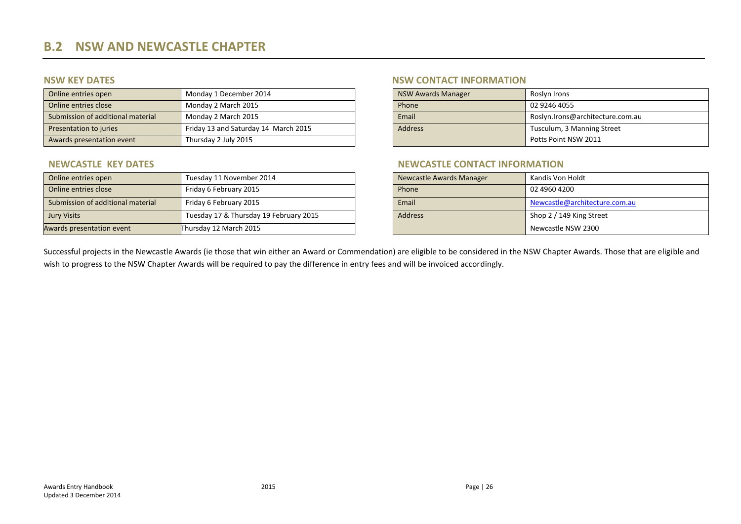| Online entries open               | Monday 1 December 2014               |  | <b>NSW Awards Manager</b> | Roslyn Irons                     |
|-----------------------------------|--------------------------------------|--|---------------------------|----------------------------------|
| Online entries close              | Monday 2 March 2015                  |  | Phone                     | 02 9246 4055                     |
| Submission of additional material | Monday 2 March 2015                  |  | Email                     | Roslyn.Irons@architecture.com.au |
| Presentation to juries            | Friday 13 and Saturday 14 March 2015 |  | <b>Address</b>            | Tusculum, 3 Manning Street       |
| Awards presentation event         | Thursday 2 July 2015                 |  |                           | Potts Point NSW 2011             |

| Online entries open               | Tuesday 11 November 2014               |  | Newcastle Awards Manager | Kandis Von Holdt              |
|-----------------------------------|----------------------------------------|--|--------------------------|-------------------------------|
| Online entries close              | Friday 6 February 2015                 |  | Phone                    | 02 4960 4200                  |
| Submission of additional material | Friday 6 February 2015                 |  | Email                    | Newcastle@architecture.com.au |
| <b>Jury Visits</b>                | Tuesday 17 & Thursday 19 February 2015 |  | <b>Address</b>           | Shop 2 / 149 King Street      |
| Awards presentation event         | Thursday 12 March 2015                 |  |                          | Newcastle NSW 2300            |

### **NSW KEY DATES NSW CONTACT INFORMATION**

| <b>NSW Awards Manager</b> | Roslyn Irons                     |  |
|---------------------------|----------------------------------|--|
| Phone                     | 02 9246 4055                     |  |
| Email                     | Roslyn.Irons@architecture.com.au |  |
| <b>Address</b>            | Tusculum, 3 Manning Street       |  |
|                           | Potts Point NSW 2011             |  |

### **NEWCASTLE KEY DATES NEWCASTLE CONTACT INFORMATION**

| <b>Newcastle Awards Manager</b> | Kandis Von Holdt              |
|---------------------------------|-------------------------------|
| Phone                           | 02 4960 4200                  |
| Email                           | Newcastle@architecture.com.au |
| <b>Address</b>                  | Shop 2 / 149 King Street      |
|                                 | Newcastle NSW 2300            |

<span id="page-25-0"></span>Successful projects in the Newcastle Awards (ie those that win either an Award or Commendation) are eligible to be considered in the NSW Chapter Awards. Those that are eligible and wish to progress to the NSW Chapter Awards will be required to pay the difference in entry fees and will be invoiced accordingly.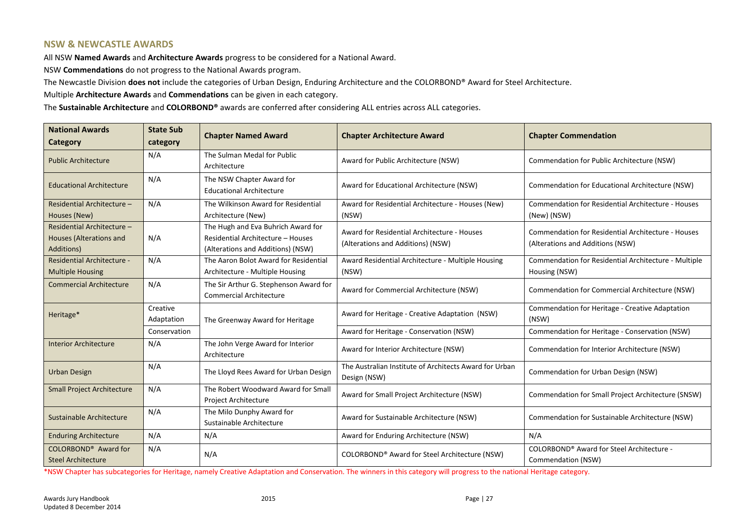### **NSW & NEWCASTLE AWARDS**

All NSW **Named Awards** and **Architecture Awards** progress to be considered for a National Award.

NSW **Commendations** do not progress to the National Awards program.

The Newcastle Division **does not** include the categories of Urban Design, Enduring Architecture and the COLORBOND® Award for Steel Architecture.

Multiple **Architecture Awards** and **Commendations** can be given in each category.

The **Sustainable Architecture** and **COLORBOND®** awards are conferred after considering ALL entries across ALL categories.

| <b>National Awards</b><br>Category                                                                                                              | <b>State Sub</b><br>category                             | <b>Chapter Named Award</b>                                                                                       | <b>Chapter Architecture Award</b>                                                | <b>Chapter Commendation</b>                                                                   |
|-------------------------------------------------------------------------------------------------------------------------------------------------|----------------------------------------------------------|------------------------------------------------------------------------------------------------------------------|----------------------------------------------------------------------------------|-----------------------------------------------------------------------------------------------|
| <b>Public Architecture</b>                                                                                                                      | N/A                                                      | The Sulman Medal for Public<br>Architecture                                                                      | Award for Public Architecture (NSW)                                              | Commendation for Public Architecture (NSW)                                                    |
| <b>Educational Architecture</b>                                                                                                                 | N/A                                                      | The NSW Chapter Award for<br><b>Educational Architecture</b>                                                     | Award for Educational Architecture (NSW)                                         | Commendation for Educational Architecture (NSW)                                               |
| Residential Architecture -<br>Houses (New)                                                                                                      | N/A                                                      | The Wilkinson Award for Residential<br>Architecture (New)                                                        | Award for Residential Architecture - Houses (New)<br>(NSW)                       | <b>Commendation for Residential Architecture - Houses</b><br>(New) (NSW)                      |
| Residential Architecture -<br>Houses (Alterations and<br>Additions)                                                                             | N/A                                                      | The Hugh and Eva Buhrich Award for<br>Residential Architecture - Houses<br>(Alterations and Additions) (NSW)     | Award for Residential Architecture - Houses<br>(Alterations and Additions) (NSW) | <b>Commendation for Residential Architecture - Houses</b><br>(Alterations and Additions (NSW) |
| N/A<br>The Aaron Bolot Award for Residential<br><b>Residential Architecture -</b><br>Architecture - Multiple Housing<br><b>Multiple Housing</b> |                                                          | Award Residential Architecture - Multiple Housing<br>(NSW)                                                       | Commendation for Residential Architecture - Multiple<br>Housing (NSW)            |                                                                                               |
| N/A<br><b>Commercial Architecture</b>                                                                                                           |                                                          | The Sir Arthur G. Stephenson Award for<br><b>Commercial Architecture</b>                                         | Award for Commercial Architecture (NSW)                                          | Commendation for Commercial Architecture (NSW)                                                |
| Heritage*                                                                                                                                       | Creative<br>Adaptation                                   | The Greenway Award for Heritage                                                                                  | Award for Heritage - Creative Adaptation (NSW)                                   | Commendation for Heritage - Creative Adaptation<br>(NSW)                                      |
|                                                                                                                                                 | Conservation                                             |                                                                                                                  | Award for Heritage - Conservation (NSW)                                          | Commendation for Heritage - Conservation (NSW)                                                |
| <b>Interior Architecture</b>                                                                                                                    | N/A<br>The John Verge Award for Interior<br>Architecture |                                                                                                                  | Award for Interior Architecture (NSW)                                            | Commendation for Interior Architecture (NSW)                                                  |
| <b>Urban Design</b>                                                                                                                             | N/A<br>The Lloyd Rees Award for Urban Design             |                                                                                                                  | The Australian Institute of Architects Award for Urban<br>Design (NSW)           | Commendation for Urban Design (NSW)                                                           |
| N/A<br><b>Small Project Architecture</b><br>Project Architecture                                                                                |                                                          | The Robert Woodward Award for Small                                                                              | Award for Small Project Architecture (NSW)                                       | Commendation for Small Project Architecture (SNSW)                                            |
| Sustainable Architecture                                                                                                                        | N/A                                                      | The Milo Dunphy Award for<br>Sustainable Architecture                                                            | Award for Sustainable Architecture (NSW)                                         | Commendation for Sustainable Architecture (NSW)                                               |
| N/A<br>N/A<br><b>Enduring Architecture</b>                                                                                                      |                                                          | Award for Enduring Architecture (NSW)                                                                            | N/A                                                                              |                                                                                               |
| COLORBOND <sup>®</sup> Award for<br>N/A<br>N/A<br><b>Steel Architecture</b>                                                                     |                                                          | COLORBOND® Award for Steel Architecture -<br>COLORBOND® Award for Steel Architecture (NSW)<br>Commendation (NSW) |                                                                                  |                                                                                               |

\*NSW Chapter has subcategories for Heritage, namely Creative Adaptation and Conservation. The winners in this category will progress to the national Heritage category.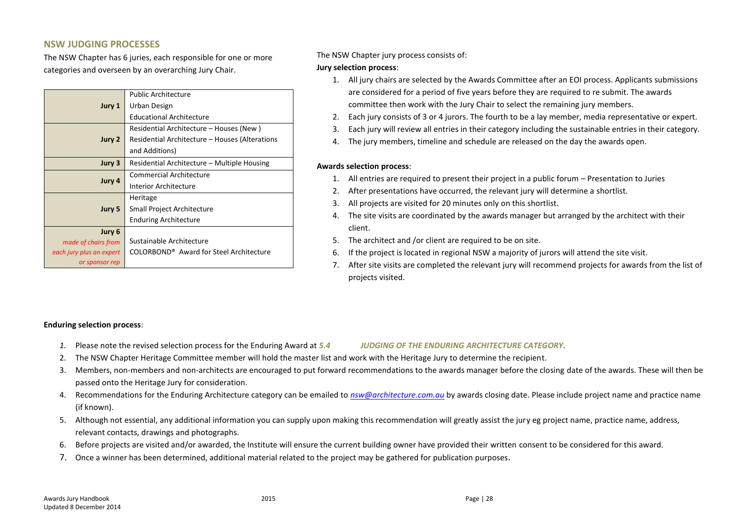### **NSW JUDGING PROCESSES**

The NSW Chapter has 6 juries, each responsible for one or more categories and overseen by an overarching Jury Chair.

|                          | <b>Public Architecture</b>                          |  |
|--------------------------|-----------------------------------------------------|--|
| Jury 1                   | Urban Design                                        |  |
|                          | <b>Educational Architecture</b>                     |  |
|                          | Residential Architecture – Houses (New)             |  |
| Jury 2                   | Residential Architecture – Houses (Alterations      |  |
|                          | and Additions)                                      |  |
| Jury 3                   | Residential Architecture - Multiple Housing         |  |
| Jury 4                   | <b>Commercial Architecture</b>                      |  |
|                          | <b>Interior Architecture</b>                        |  |
|                          | Heritage                                            |  |
| Jury 5                   | Small Project Architecture                          |  |
|                          | <b>Enduring Architecture</b>                        |  |
| Jury 6                   |                                                     |  |
| made of chairs from      | Sustainable Architecture                            |  |
| each jury plus an expert | COLORBOND <sup>®</sup> Award for Steel Architecture |  |
| or sponsor rep           |                                                     |  |

### The NSW Chapter jury process consists of:

### **Jury selection process**:

- 1. All jury chairs are selected by the Awards Committee after an EOI process. Applicants submissions are considered for a period of five years before they are required to re submit. The awards committee then work with the Jury Chair to select the remaining jury members.
- 2. Each jury consists of 3 or 4 jurors. The fourth to be a lay member, media representative or expert.
- 3. Each jury will review all entries in their category including the sustainable entries in their category.
- 4. The jury members, timeline and schedule are released on the day the awards open.

### **Awards selection process**:

- 1. All entries are required to present their project in a public forum Presentation to Juries
- 2. After presentations have occurred, the relevant jury will determine a shortlist.
- 3. All projects are visited for 20 minutes only on this shortlist.
- 4. The site visits are coordinated by the awards manager but arranged by the architect with their client.
- 5. The architect and /or client are required to be on site.
- 6. If the project is located in regional NSW a majority of jurors will attend the site visit.
- 7. After site visits are completed the relevant jury will recommend projects for awards from the list of projects visited.

### **Enduring selection process**:

*1.* Please note the revised selection process for the Enduring Award at *5.4 [JUDGING OF THE ENDURING ARCHITECTURE CATEGORY](#page-14-4)*.

- 2. The NSW Chapter Heritage Committee member will hold the master list and work with the Heritage Jury to determine the recipient.
- 3. Members, non-members and non-architects are encouraged to put forward recommendations to the awards manager before the closing date of the awards. These will then be passed onto the Heritage Jury for consideration.
- 4. Recommendations for the Enduring Architecture category can be emailed to *[nsw@architecture.com.au](mailto:nsw@architecture.com.au)* by awards closing date. Please include project name and practice name (if known).
- 5. Although not essential, any additional information you can supply upon making this recommendation will greatly assist the jury eg project name, practice name, address, relevant contacts, drawings and photographs.
- 6. Before projects are visited and/or awarded, the Institute will ensure the current building owner have provided their written consent to be considered for this award.
- 7. Once a winner has been determined, additional material related to the project may be gathered for publication purposes.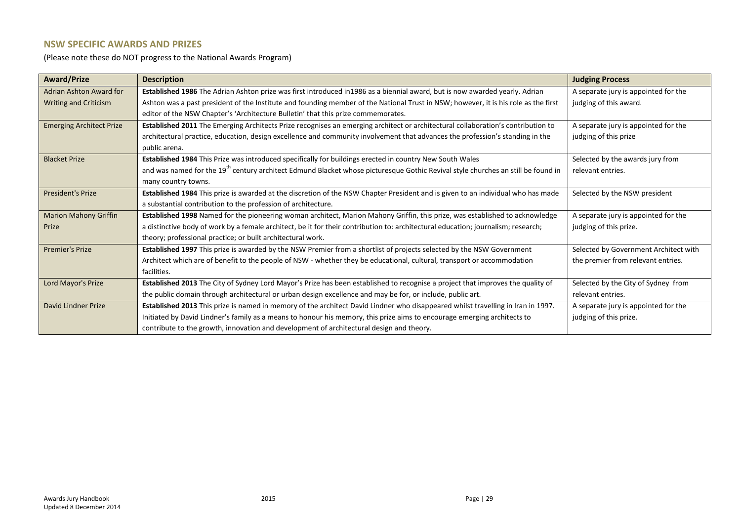### **NSW SPECIFIC AWARDS AND PRIZES**

(Please note these do NOT progress to the National Awards Program)

| <b>Award/Prize</b>              | <b>Description</b>                                                                                                                           | <b>Judging Process</b>                |
|---------------------------------|----------------------------------------------------------------------------------------------------------------------------------------------|---------------------------------------|
| Adrian Ashton Award for         | Established 1986 The Adrian Ashton prize was first introduced in1986 as a biennial award, but is now awarded yearly. Adrian                  | A separate jury is appointed for the  |
| <b>Writing and Criticism</b>    | Ashton was a past president of the Institute and founding member of the National Trust in NSW; however, it is his role as the first          | judging of this award.                |
|                                 | editor of the NSW Chapter's 'Architecture Bulletin' that this prize commemorates.                                                            |                                       |
| <b>Emerging Architect Prize</b> | Established 2011 The Emerging Architects Prize recognises an emerging architect or architectural collaboration's contribution to             | A separate jury is appointed for the  |
|                                 | architectural practice, education, design excellence and community involvement that advances the profession's standing in the                | judging of this prize                 |
|                                 | public arena.                                                                                                                                |                                       |
| <b>Blacket Prize</b>            | Established 1984 This Prize was introduced specifically for buildings erected in country New South Wales                                     | Selected by the awards jury from      |
|                                 | and was named for the 19 <sup>th</sup> century architect Edmund Blacket whose picturesque Gothic Revival style churches an still be found in | relevant entries.                     |
|                                 | many country towns.                                                                                                                          |                                       |
| <b>President's Prize</b>        | Established 1984 This prize is awarded at the discretion of the NSW Chapter President and is given to an individual who has made             | Selected by the NSW president         |
|                                 | a substantial contribution to the profession of architecture.                                                                                |                                       |
| <b>Marion Mahony Griffin</b>    | Established 1998 Named for the pioneering woman architect, Marion Mahony Griffin, this prize, was established to acknowledge                 | A separate jury is appointed for the  |
| Prize                           | a distinctive body of work by a female architect, be it for their contribution to: architectural education; journalism; research;            | judging of this prize.                |
|                                 | theory; professional practice; or built architectural work.                                                                                  |                                       |
| <b>Premier's Prize</b>          | Established 1997 This prize is awarded by the NSW Premier from a shortlist of projects selected by the NSW Government                        | Selected by Government Architect with |
|                                 | Architect which are of benefit to the people of NSW - whether they be educational, cultural, transport or accommodation                      | the premier from relevant entries.    |
|                                 | facilities.                                                                                                                                  |                                       |
| Lord Mayor's Prize              | Established 2013 The City of Sydney Lord Mayor's Prize has been established to recognise a project that improves the quality of              | Selected by the City of Sydney from   |
|                                 | the public domain through architectural or urban design excellence and may be for, or include, public art.                                   | relevant entries.                     |
| David Lindner Prize             | Established 2013 This prize is named in memory of the architect David Lindner who disappeared whilst travelling in Iran in 1997.             | A separate jury is appointed for the  |
|                                 | Initiated by David Lindner's family as a means to honour his memory, this prize aims to encourage emerging architects to                     | judging of this prize.                |
|                                 | contribute to the growth, innovation and development of architectural design and theory.                                                     |                                       |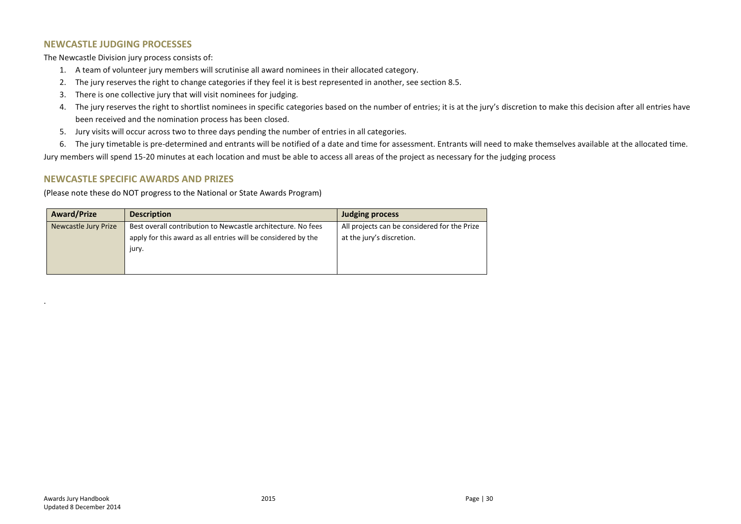### **NEWCASTLE JUDGING PROCESSES**

The Newcastle Division jury process consists of:

- 1. A team of volunteer jury members will scrutinise all award nominees in their allocated category.
- 2. The jury reserves the right to change categories if they feel it is best represented in another, see section 8.5.
- 3. There is one collective jury that will visit nominees for judging.
- 4. The jury reserves the right to shortlist nominees in specific categories based on the number of entries; it is at the jury's discretion to make this decision after all entries have been received and the nomination process has been closed.
- 5. Jury visits will occur across two to three days pending the number of entries in all categories.
- 6. The jury timetable is pre-determined and entrants will be notified of a date and time for assessment. Entrants will need to make themselves available at the allocated time.

Jury members will spend 15-20 minutes at each location and must be able to access all areas of the project as necessary for the judging process

### **NEWCASTLE SPECIFIC AWARDS AND PRIZES**

(Please note these do NOT progress to the National or State Awards Program)

| <b>Award/Prize</b>   | <b>Description</b>                                            | <b>Judging process</b>                       |
|----------------------|---------------------------------------------------------------|----------------------------------------------|
| Newcastle Jury Prize | Best overall contribution to Newcastle architecture. No fees  | All projects can be considered for the Prize |
|                      | apply for this award as all entries will be considered by the | at the jury's discretion.                    |
|                      | jury.                                                         |                                              |
|                      |                                                               |                                              |
|                      |                                                               |                                              |

.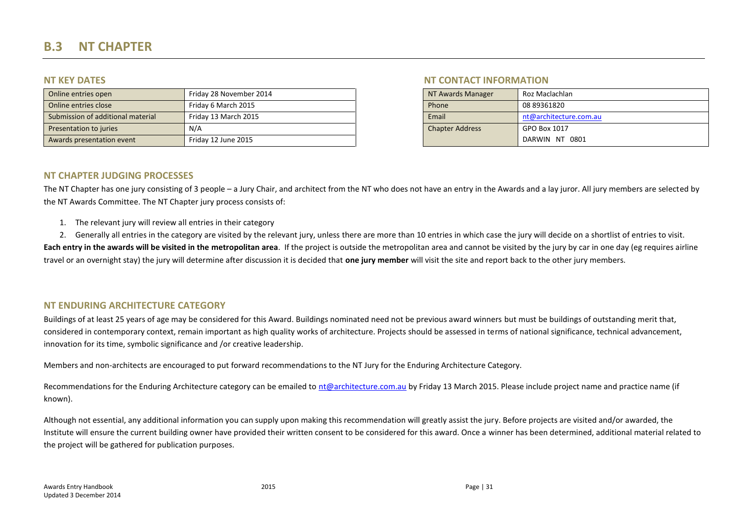# **B.3 NT CHAPTER**

| Online entries open               | Friday 28 November 2014 | NT Awards Manager      | Roz Maclachlan         |
|-----------------------------------|-------------------------|------------------------|------------------------|
| Online entries close              | Friday 6 March 2015     | Phone                  | 08 89361820            |
| Submission of additional material | Friday 13 March 2015    | Email                  | nt@architecture.com.au |
| Presentation to juries            | N/A                     | <b>Chapter Address</b> | GPO Box 1017           |
| Awards presentation event         | Friday 12 June 2015     |                        | DARWIN NT 0801         |

### **NT KEY DATES NT CONTACT INFORMATION**

| NT Awards Manager      | Roz Maclachlan         |
|------------------------|------------------------|
| Phone                  | 08 89361820            |
| Email                  | nt@architecture.com.au |
| <b>Chapter Address</b> | GPO Box 1017           |
|                        | DARWIN NT 0801         |

### **NT CHAPTER JUDGING PROCESSES**

The NT Chapter has one jury consisting of 3 people – a Jury Chair, and architect from the NT who does not have an entry in the Awards and a lay juror. All jury members are selected by the NT Awards Committee. The NT Chapter jury process consists of:

- 1. The relevant jury will review all entries in their category
- 2. Generally all entries in the category are visited by the relevant jury, unless there are more than 10 entries in which case the jury will decide on a shortlist of entries to visit.

<span id="page-30-0"></span>Each entry in the awards will be visited in the metropolitan area. If the project is outside the metropolitan area and cannot be visited by the jury by car in one day (eg requires airline travel or an overnight stay) the jury will determine after discussion it is decided that **one jury member** will visit the site and report back to the other jury members.

### **NT ENDURING ARCHITECTURE CATEGORY**

Buildings of at least 25 years of age may be considered for this Award. Buildings nominated need not be previous award winners but must be buildings of outstanding merit that, considered in contemporary context, remain important as high quality works of architecture. Projects should be assessed in terms of national significance, technical advancement, innovation for its time, symbolic significance and /or creative leadership.

Members and non-architects are encouraged to put forward recommendations to the NT Jury for the Enduring Architecture Category.

Recommendations for the Enduring Architecture category can be emailed to [nt@architecture.com.au](mailto:nt@architecture.com.au) by Friday 13 March 2015. Please include project name and practice name (if known).

Although not essential, any additional information you can supply upon making this recommendation will greatly assist the jury. Before projects are visited and/or awarded, the Institute will ensure the current building owner have provided their written consent to be considered for this award. Once a winner has been determined, additional material related to the project will be gathered for publication purposes.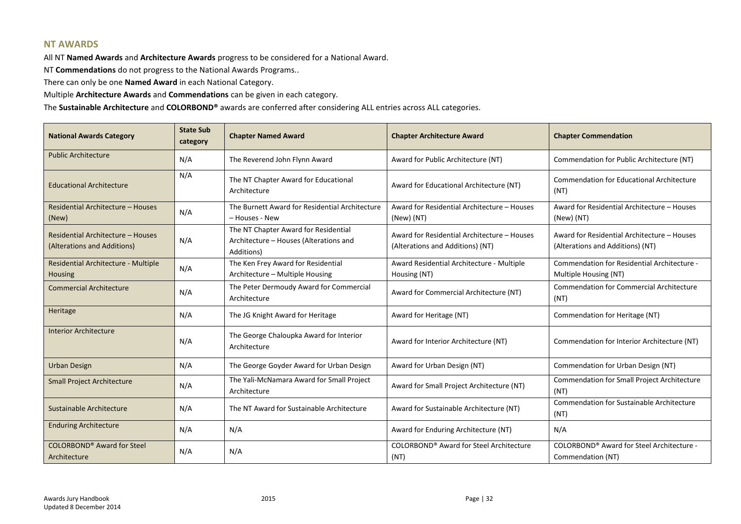### **NT AWARDS**

All NT **Named Awards** and **Architecture Awards** progress to be considered for a National Award.

NT **Commendations** do not progress to the National Awards Programs..

There can only be one **Named Award** in each National Category.

Multiple **Architecture Awards** and **Commendations** can be given in each category.

The **Sustainable Architecture** and **COLORBOND®** awards are conferred after considering ALL entries across ALL categories.

| <b>National Awards Category</b>                                  | <b>State Sub</b><br>category | <b>Chapter Named Award</b>                                                                   | <b>Chapter Architecture Award</b>                                               | <b>Chapter Commendation</b>                                                     |
|------------------------------------------------------------------|------------------------------|----------------------------------------------------------------------------------------------|---------------------------------------------------------------------------------|---------------------------------------------------------------------------------|
| <b>Public Architecture</b>                                       | N/A                          | The Reverend John Flynn Award                                                                | Award for Public Architecture (NT)                                              | Commendation for Public Architecture (NT)                                       |
| <b>Educational Architecture</b>                                  | N/A                          | The NT Chapter Award for Educational<br>Architecture                                         | Award for Educational Architecture (NT)                                         | <b>Commendation for Educational Architecture</b><br>(NT)                        |
| Residential Architecture - Houses<br>(New)                       | N/A                          | The Burnett Award for Residential Architecture<br>- Houses - New                             | Award for Residential Architecture - Houses<br>(New) (NT)                       | Award for Residential Architecture - Houses<br>(New) (NT)                       |
| Residential Architecture - Houses<br>(Alterations and Additions) | N/A                          | The NT Chapter Award for Residential<br>Architecture - Houses (Alterations and<br>Additions) | Award for Residential Architecture - Houses<br>(Alterations and Additions) (NT) | Award for Residential Architecture - Houses<br>(Alterations and Additions) (NT) |
| Residential Architecture - Multiple<br><b>Housing</b>            | N/A                          | The Ken Frey Award for Residential<br>Architecture - Multiple Housing                        | Award Residential Architecture - Multiple<br>Housing (NT)                       | Commendation for Residential Architecture -<br>Multiple Housing (NT)            |
| <b>Commercial Architecture</b>                                   | N/A                          | The Peter Dermoudy Award for Commercial<br>Architecture                                      | Award for Commercial Architecture (NT)                                          | <b>Commendation for Commercial Architecture</b><br>(NT)                         |
| Heritage                                                         | N/A                          | The JG Knight Award for Heritage                                                             | Award for Heritage (NT)                                                         | Commendation for Heritage (NT)                                                  |
| <b>Interior Architecture</b>                                     | N/A                          | The George Chaloupka Award for Interior<br>Architecture                                      | Award for Interior Architecture (NT)                                            | Commendation for Interior Architecture (NT)                                     |
| <b>Urban Design</b>                                              | N/A                          | The George Goyder Award for Urban Design                                                     | Award for Urban Design (NT)                                                     | Commendation for Urban Design (NT)                                              |
| <b>Small Project Architecture</b>                                | N/A                          | The Yali-McNamara Award for Small Project<br>Architecture                                    | Award for Small Project Architecture (NT)                                       | Commendation for Small Project Architecture<br>(NT)                             |
| Sustainable Architecture                                         | N/A                          | The NT Award for Sustainable Architecture                                                    | Award for Sustainable Architecture (NT)                                         | Commendation for Sustainable Architecture<br>(NT)                               |
| <b>Enduring Architecture</b>                                     | N/A                          | N/A                                                                                          | Award for Enduring Architecture (NT)                                            | N/A                                                                             |
| <b>COLORBOND<sup>®</sup></b> Award for Steel<br>Architecture     | N/A                          | N/A                                                                                          | COLORBOND <sup>®</sup> Award for Steel Architecture<br>(NT)                     | COLORBOND® Award for Steel Architecture -<br>Commendation (NT)                  |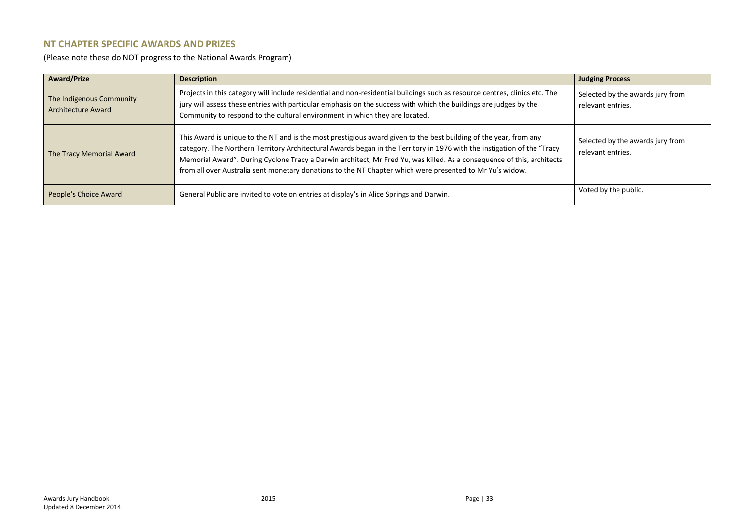### **NT CHAPTER SPECIFIC AWARDS AND PRIZES**

(Please note these do NOT progress to the National Awards Program)

| <b>Award/Prize</b>                                    | <b>Description</b>                                                                                                                                                                                                                                                                                                                                                                                                                                                                 | <b>Judging Process</b>                                |
|-------------------------------------------------------|------------------------------------------------------------------------------------------------------------------------------------------------------------------------------------------------------------------------------------------------------------------------------------------------------------------------------------------------------------------------------------------------------------------------------------------------------------------------------------|-------------------------------------------------------|
| The Indigenous Community<br><b>Architecture Award</b> | Projects in this category will include residential and non-residential buildings such as resource centres, clinics etc. The<br>jury will assess these entries with particular emphasis on the success with which the buildings are judges by the<br>Community to respond to the cultural environment in which they are located.                                                                                                                                                    | Selected by the awards jury from<br>relevant entries. |
| The Tracy Memorial Award                              | This Award is unique to the NT and is the most prestigious award given to the best building of the year, from any<br>category. The Northern Territory Architectural Awards began in the Territory in 1976 with the instigation of the "Tracy<br>Memorial Award". During Cyclone Tracy a Darwin architect, Mr Fred Yu, was killed. As a consequence of this, architects<br>from all over Australia sent monetary donations to the NT Chapter which were presented to Mr Yu's widow. | Selected by the awards jury from<br>relevant entries. |
| People's Choice Award                                 | General Public are invited to vote on entries at display's in Alice Springs and Darwin.                                                                                                                                                                                                                                                                                                                                                                                            | Voted by the public.                                  |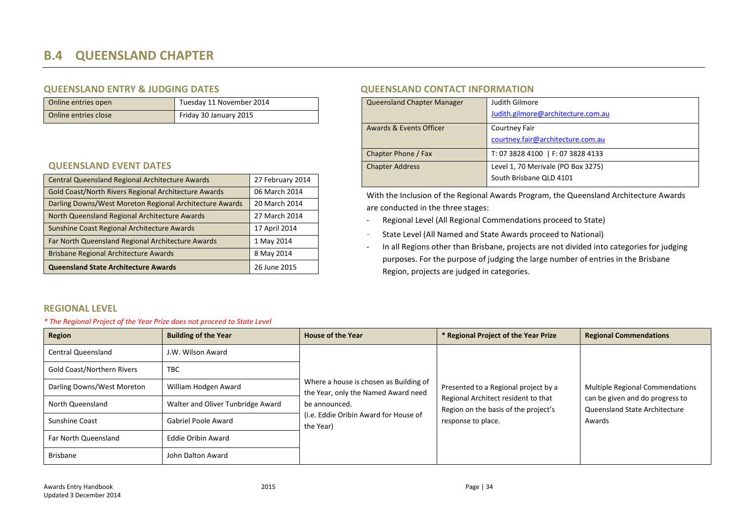# **B.4 QUEENSLAND CHAPTER**

### **QUEENSLAND ENTRY & JUDGING DATES QUEENSLAND CONTACT INFORMATION**

| Online entries open  | Tuesdav 11 November 2014 | Queensland Chapter Manager | Judith Gilmore                     |
|----------------------|--------------------------|----------------------------|------------------------------------|
| Online entries close | Friday 30 January 2015   |                            | Judith.gilmore@architecture.com.au |

### **QUEENSLAND EVENT DATES**

| Central Queensland Regional Architecture Awards                                                                 | 27 February 2014               |
|-----------------------------------------------------------------------------------------------------------------|--------------------------------|
| Gold Coast/North Rivers Regional Architecture Awards<br>Darling Downs/West Moreton Regional Architecture Awards | 06 March 2014<br>20 March 2014 |
| North Queensland Regional Architecture Awards                                                                   | 27 March 2014                  |
| Sunshine Coast Regional Architecture Awards                                                                     | 17 April 2014                  |
| Far North Queensland Regional Architecture Awards<br>Brisbane Regional Architecture Awards                      | 1 May 2014<br>8 May 2014       |
| Queensland State Architecture Awards                                                                            | 26 June 2015                   |

| <b>Queensland Chapter Manager</b> | Judith Gilmore<br>Judith.gilmore@architecture.com.au          |
|-----------------------------------|---------------------------------------------------------------|
| Awards & Events Officer           | Courtney Fair<br>courtney.fair@architecture.com.au            |
| Chapter Phone / Fax               | T: 07 3828 4100   F: 07 3828 4133                             |
| <b>Chapter Address</b>            | Level 1, 70 Merivale (PO Box 3275)<br>South Brisbane OLD 4101 |

With the Inclusion of the Regional Awards Program, the Queensland Architecture Awards are conducted in the three stages:

- Regional Level (All Regional Commendations proceed to State)
- State Level (All Named and State Awards proceed to National)
- In all Regions other than Brisbane, projects are not divided into categories for judging purposes. For the purpose of judging the large number of entries in the Brisbane Region, projects are judged in categories.

### <span id="page-33-0"></span>**REGIONAL LEVEL**

### *\* The Regional Project of the Year Prize does not proceed to State Level*

| Region                            | <b>Building of the Year</b>       | <b>House of the Year</b>                                                      | * Regional Project of the Year Prize                                        | <b>Regional Commendations</b>                                    |
|-----------------------------------|-----------------------------------|-------------------------------------------------------------------------------|-----------------------------------------------------------------------------|------------------------------------------------------------------|
| <b>Central Queensland</b>         | J.W. Wilson Award                 |                                                                               |                                                                             |                                                                  |
| <b>Gold Coast/Northern Rivers</b> | <b>TBC</b>                        |                                                                               |                                                                             |                                                                  |
| Darling Downs/West Moreton        | William Hodgen Award              | Where a house is chosen as Building of<br>the Year, only the Named Award need | Presented to a Regional project by a                                        | <b>Multiple Regional Commendations</b>                           |
| North Queensland                  | Walter and Oliver Tunbridge Award | be announced.                                                                 | Regional Architect resident to that<br>Region on the basis of the project's | can be given and do progress to<br>Queensland State Architecture |
| Sunshine Coast                    | Gabriel Poole Award               | (i.e. Eddie Oribin Award for House of<br>the Year)                            | response to place.                                                          | Awards                                                           |
| Far North Queensland              | <b>Eddie Oribin Award</b>         |                                                                               |                                                                             |                                                                  |
| <b>Brisbane</b>                   | John Dalton Award                 |                                                                               |                                                                             |                                                                  |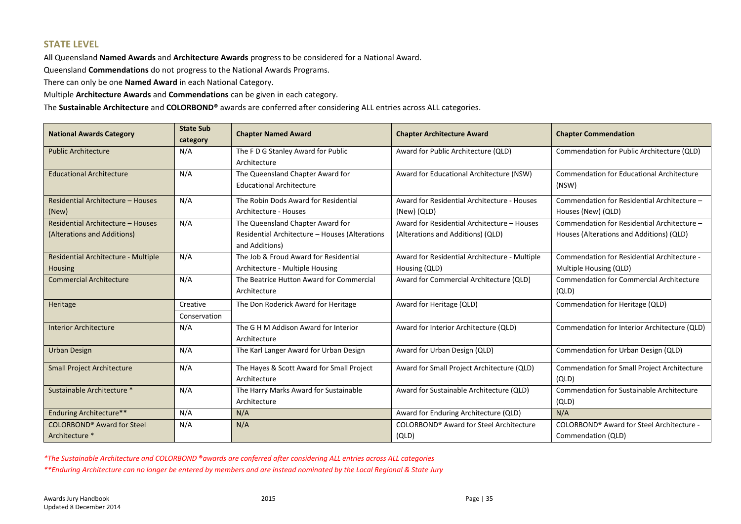### **STATE LEVEL**

All Queensland **Named Awards** and **Architecture Awards** progress to be considered for a National Award.

Queensland **Commendations** do not progress to the National Awards Programs.

There can only be one **Named Award** in each National Category.

Multiple **Architecture Awards** and **Commendations** can be given in each category.

The **Sustainable Architecture** and **COLORBOND®** awards are conferred after considering ALL entries across ALL categories.

| <b>National Awards Category</b>                                  | <b>State Sub</b><br>category | <b>Chapter Named Award</b>                                                                           | <b>Chapter Architecture Award</b>                                                | <b>Chapter Commendation</b>                                                             |
|------------------------------------------------------------------|------------------------------|------------------------------------------------------------------------------------------------------|----------------------------------------------------------------------------------|-----------------------------------------------------------------------------------------|
| <b>Public Architecture</b>                                       | N/A                          | The F D G Stanley Award for Public<br>Architecture                                                   | Award for Public Architecture (QLD)                                              | Commendation for Public Architecture (QLD)                                              |
| <b>Educational Architecture</b>                                  | N/A                          | The Queensland Chapter Award for<br><b>Educational Architecture</b>                                  | Award for Educational Architecture (NSW)                                         | <b>Commendation for Educational Architecture</b><br>(NSW)                               |
| Residential Architecture - Houses<br>(New)                       | N/A                          | The Robin Dods Award for Residential<br>Architecture - Houses                                        | Award for Residential Architecture - Houses<br>(New) (QLD)                       | Commendation for Residential Architecture -<br>Houses (New) (QLD)                       |
| Residential Architecture - Houses<br>(Alterations and Additions) | N/A                          | The Queensland Chapter Award for<br>Residential Architecture - Houses (Alterations<br>and Additions) | Award for Residential Architecture - Houses<br>(Alterations and Additions) (QLD) | Commendation for Residential Architecture -<br>Houses (Alterations and Additions) (QLD) |
| Residential Architecture - Multiple<br><b>Housing</b>            | N/A                          | The Job & Froud Award for Residential<br>Architecture - Multiple Housing                             | Award for Residential Architecture - Multiple<br>Housing (QLD)                   | Commendation for Residential Architecture -<br>Multiple Housing (QLD)                   |
| <b>Commercial Architecture</b>                                   | N/A                          | The Beatrice Hutton Award for Commercial<br>Architecture                                             | Award for Commercial Architecture (QLD)                                          | <b>Commendation for Commercial Architecture</b><br>(QLD)                                |
| Heritage                                                         | Creative<br>Conservation     | The Don Roderick Award for Heritage                                                                  | Award for Heritage (QLD)                                                         | Commendation for Heritage (QLD)                                                         |
| <b>Interior Architecture</b>                                     | N/A                          | The G H M Addison Award for Interior<br>Architecture                                                 | Award for Interior Architecture (QLD)                                            | Commendation for Interior Architecture (QLD)                                            |
| <b>Urban Design</b>                                              | N/A                          | The Karl Langer Award for Urban Design                                                               | Award for Urban Design (QLD)                                                     | Commendation for Urban Design (QLD)                                                     |
| <b>Small Project Architecture</b>                                | N/A                          | The Hayes & Scott Award for Small Project<br>Architecture                                            | Award for Small Project Architecture (QLD)                                       | Commendation for Small Project Architecture<br>(QLD)                                    |
| Sustainable Architecture *                                       | N/A                          | The Harry Marks Award for Sustainable<br>Architecture                                                | Award for Sustainable Architecture (QLD)                                         | Commendation for Sustainable Architecture<br>(QLD)                                      |
| <b>Enduring Architecture**</b>                                   | N/A                          | N/A                                                                                                  | Award for Enduring Architecture (QLD)                                            | N/A                                                                                     |
| <b>COLORBOND® Award for Steel</b><br>Architecture *              | N/A                          | N/A                                                                                                  | COLORBOND® Award for Steel Architecture<br>(QLD)                                 | COLORBOND® Award for Steel Architecture -<br>Commendation (QLD)                         |

*\*The Sustainable Architecture and COLORBOND* **®***awards are conferred after considering ALL entries across ALL categories*

*\*\*Enduring Architecture can no longer be entered by members and are instead nominated by the Local Regional & State Jury*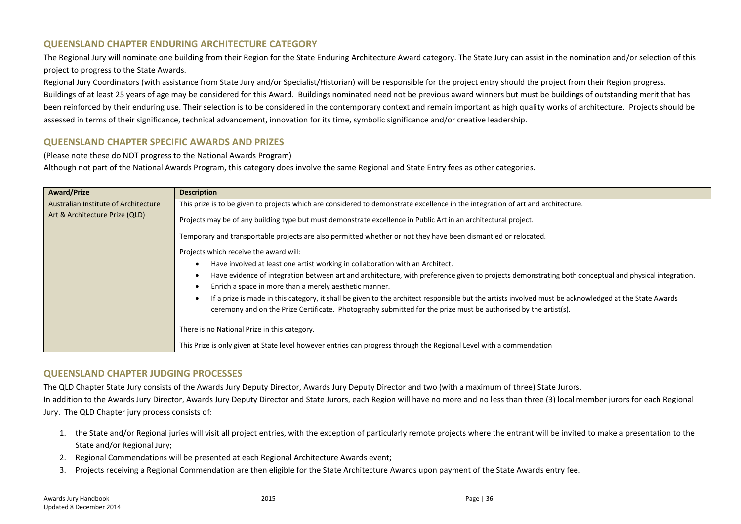### **QUEENSLAND CHAPTER ENDURING ARCHITECTURE CATEGORY**

The Regional Jury will nominate one building from their Region for the State Enduring Architecture Award category. The State Jury can assist in the nomination and/or selection of this project to progress to the State Awards.

Regional Jury Coordinators (with assistance from State Jury and/or Specialist/Historian) will be responsible for the project entry should the project from their Region progress.

Buildings of at least 25 years of age may be considered for this Award. Buildings nominated need not be previous award winners but must be buildings of outstanding merit that has been reinforced by their enduring use. Their selection is to be considered in the contemporary context and remain important as high quality works of architecture. Projects should be assessed in terms of their significance, technical advancement, innovation for its time, symbolic significance and/or creative leadership.

### **QUEENSLAND CHAPTER SPECIFIC AWARDS AND PRIZES**

(Please note these do NOT progress to the National Awards Program)

Although not part of the National Awards Program, this category does involve the same Regional and State Entry fees as other categories.

| <b>Award/Prize</b>                   | <b>Description</b>                                                                                                                                    |  |  |
|--------------------------------------|-------------------------------------------------------------------------------------------------------------------------------------------------------|--|--|
| Australian Institute of Architecture | This prize is to be given to projects which are considered to demonstrate excellence in the integration of art and architecture.                      |  |  |
| Art & Architecture Prize (QLD)       | Projects may be of any building type but must demonstrate excellence in Public Art in an architectural project.                                       |  |  |
|                                      | Temporary and transportable projects are also permitted whether or not they have been dismantled or relocated.                                        |  |  |
|                                      | Projects which receive the award will:                                                                                                                |  |  |
|                                      | Have involved at least one artist working in collaboration with an Architect.                                                                         |  |  |
|                                      | Have evidence of integration between art and architecture, with preference given to projects demonstrating both conceptual and physical integration.  |  |  |
|                                      | Enrich a space in more than a merely aesthetic manner.                                                                                                |  |  |
|                                      | If a prize is made in this category, it shall be given to the architect responsible but the artists involved must be acknowledged at the State Awards |  |  |
|                                      | ceremony and on the Prize Certificate. Photography submitted for the prize must be authorised by the artist(s).                                       |  |  |
|                                      | There is no National Prize in this category.                                                                                                          |  |  |
|                                      | This Prize is only given at State level however entries can progress through the Regional Level with a commendation                                   |  |  |

### **QUEENSLAND CHAPTER JUDGING PROCESSES**

The QLD Chapter State Jury consists of the Awards Jury Deputy Director, Awards Jury Deputy Director and two (with a maximum of three) State Jurors. In addition to the Awards Jury Director, Awards Jury Deputy Director and State Jurors, each Region will have no more and no less than three (3) local member jurors for each Regional Jury. The QLD Chapter jury process consists of:

- 1. the State and/or Regional juries will visit all project entries, with the exception of particularly remote projects where the entrant will be invited to make a presentation to the State and/or Regional Jury;
- 2. Regional Commendations will be presented at each Regional Architecture Awards event;
- 3. Projects receiving a Regional Commendation are then eligible for the State Architecture Awards upon payment of the State Awards entry fee.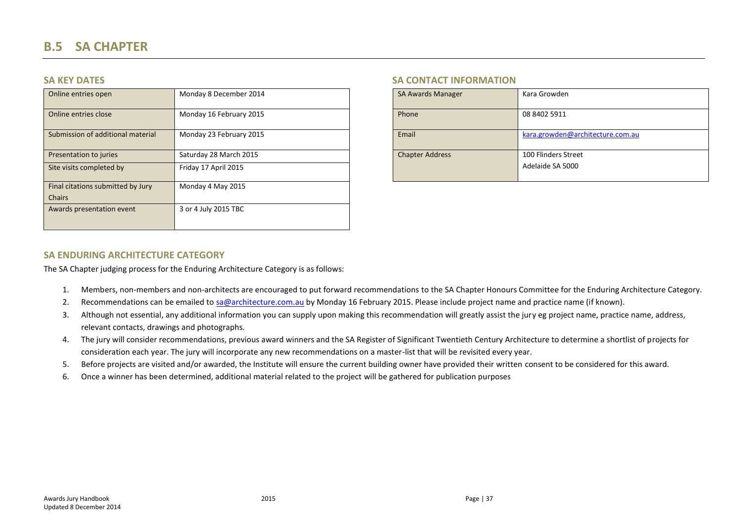| Online entries open               | Monday 8 December 2014  | <b>SA Awards Manager</b> | Kara Growden                     |
|-----------------------------------|-------------------------|--------------------------|----------------------------------|
| Online entries close              | Monday 16 February 2015 | Phone                    | 08 8402 5911                     |
| Submission of additional material | Monday 23 February 2015 | Email                    | kara.growden@architecture.com.au |
| Presentation to juries            | Saturday 28 March 2015  | <b>Chapter Address</b>   | 100 Flinders Street              |
| Site visits completed by          | Friday 17 April 2015    |                          | Adelaide SA 5000                 |
| Final citations submitted by Jury | Monday 4 May 2015       |                          |                                  |
| <b>Chairs</b>                     |                         |                          |                                  |
| Awards presentation event         | 3 or 4 July 2015 TBC    |                          |                                  |

### **SA KEY DATES SA CONTACT INFORMATION**

| <b>SA Awards Manager</b> | Kara Growden                     |
|--------------------------|----------------------------------|
| Phone                    | 08 8402 5911                     |
| Email                    | kara.growden@architecture.com.au |
| <b>Chapter Address</b>   | 100 Flinders Street              |
|                          | Adelaide SA 5000                 |

### <span id="page-36-0"></span>**SA ENDURING ARCHITECTURE CATEGORY**

The SA Chapter judging process for the Enduring Architecture Category is as follows:

- 1. Members, non-members and non-architects are encouraged to put forward recommendations to the SA Chapter Honours Committee for the Enduring Architecture Category.
- 2. Recommendations can be emailed t[o sa@architecture.com.au](mailto:sa@architecture.com.au) by Monday 16 February 2015. Please include project name and practice name (if known).
- 3. Although not essential, any additional information you can supply upon making this recommendation will greatly assist the jury eg project name, practice name, address, relevant contacts, drawings and photographs.
- 4. The jury will consider recommendations, previous award winners and the SA Register of Significant Twentieth Century Architecture to determine a shortlist of projects for consideration each year. The jury will incorporate any new recommendations on a master-list that will be revisited every year.
- 5. Before projects are visited and/or awarded, the Institute will ensure the current building owner have provided their written consent to be considered for this award.
- 6. Once a winner has been determined, additional material related to the project will be gathered for publication purposes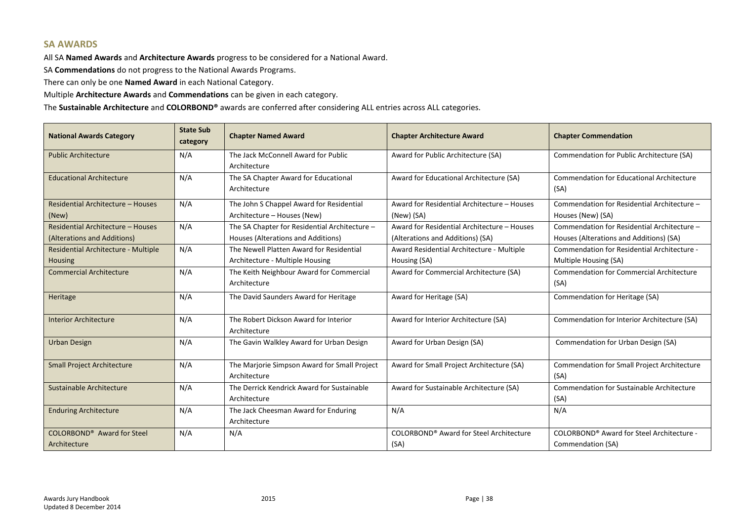### **SA AWARDS**

All SA **Named Awards** and **Architecture Awards** progress to be considered for a National Award.

SA **Commendations** do not progress to the National Awards Programs.

There can only be one **Named Award** in each National Category.

Multiple **Architecture Awards** and **Commendations** can be given in each category.

The **Sustainable Architecture** and **COLORBOND®** awards are conferred after considering ALL entries across ALL categories.

| <b>National Awards Category</b>        | <b>State Sub</b><br>category | <b>Chapter Named Award</b>                            | <b>Chapter Architecture Award</b>           | <b>Chapter Commendation</b>                     |
|----------------------------------------|------------------------------|-------------------------------------------------------|---------------------------------------------|-------------------------------------------------|
| <b>Public Architecture</b>             | N/A                          | The Jack McConnell Award for Public                   | Award for Public Architecture (SA)          | Commendation for Public Architecture (SA)       |
|                                        |                              | Architecture                                          |                                             |                                                 |
| <b>Educational Architecture</b>        | N/A                          | The SA Chapter Award for Educational                  | Award for Educational Architecture (SA)     | Commendation for Educational Architecture       |
|                                        |                              | Architecture                                          |                                             | (SA)                                            |
| Residential Architecture - Houses      | N/A                          | The John S Chappel Award for Residential              | Award for Residential Architecture - Houses | Commendation for Residential Architecture -     |
| (New)                                  |                              | Architecture - Houses (New)                           | (New) (SA)                                  | Houses (New) (SA)                               |
| Residential Architecture - Houses      | N/A                          | The SA Chapter for Residential Architecture -         | Award for Residential Architecture - Houses | Commendation for Residential Architecture -     |
| (Alterations and Additions)            |                              | Houses (Alterations and Additions)                    | (Alterations and Additions) (SA)            | Houses (Alterations and Additions) (SA)         |
| Residential Architecture - Multiple    | N/A                          | The Newell Platten Award for Residential              | Award Residential Architecture - Multiple   | Commendation for Residential Architecture -     |
| <b>Housing</b>                         |                              | Architecture - Multiple Housing                       | Housing (SA)                                | Multiple Housing (SA)                           |
| <b>Commercial Architecture</b>         | N/A                          | The Keith Neighbour Award for Commercial              | Award for Commercial Architecture (SA)      | <b>Commendation for Commercial Architecture</b> |
|                                        |                              | Architecture                                          |                                             | (SA)                                            |
| Heritage                               | N/A                          | The David Saunders Award for Heritage                 | Award for Heritage (SA)                     | Commendation for Heritage (SA)                  |
| <b>Interior Architecture</b>           | N/A                          | The Robert Dickson Award for Interior<br>Architecture | Award for Interior Architecture (SA)        | Commendation for Interior Architecture (SA)     |
| <b>Urban Design</b>                    | N/A                          | The Gavin Walkley Award for Urban Design              | Award for Urban Design (SA)                 | Commendation for Urban Design (SA)              |
| <b>Small Project Architecture</b>      | N/A                          | The Marjorie Simpson Award for Small Project          | Award for Small Project Architecture (SA)   | Commendation for Small Project Architecture     |
|                                        |                              | Architecture                                          |                                             | (SA)                                            |
| Sustainable Architecture               | N/A                          | The Derrick Kendrick Award for Sustainable            | Award for Sustainable Architecture (SA)     | Commendation for Sustainable Architecture       |
|                                        |                              | Architecture                                          |                                             | (SA)                                            |
| <b>Enduring Architecture</b>           | N/A                          | The Jack Cheesman Award for Enduring                  | N/A                                         | N/A                                             |
|                                        |                              | Architecture                                          |                                             |                                                 |
| COLORBOND <sup>®</sup> Award for Steel | N/A                          | N/A                                                   | COLORBOND® Award for Steel Architecture     | COLORBOND® Award for Steel Architecture -       |
| Architecture                           |                              |                                                       | (SA)                                        | Commendation (SA)                               |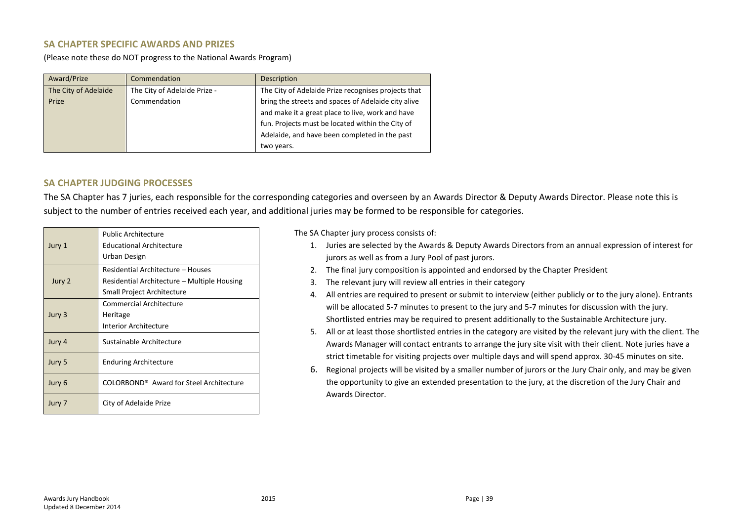### **SA CHAPTER SPECIFIC AWARDS AND PRIZES**

(Please note these do NOT progress to the National Awards Program)

| Award/Prize          | Commendation                 | Description                                         |
|----------------------|------------------------------|-----------------------------------------------------|
| The City of Adelaide | The City of Adelaide Prize - | The City of Adelaide Prize recognises projects that |
| Prize                | Commendation                 | bring the streets and spaces of Adelaide city alive |
|                      |                              | and make it a great place to live, work and have    |
|                      |                              | fun. Projects must be located within the City of    |
|                      |                              | Adelaide, and have been completed in the past       |
|                      |                              | two years.                                          |

### **SA CHAPTER JUDGING PROCESSES**

The SA Chapter has 7 juries, each responsible for the corresponding categories and overseen by an Awards Director & Deputy Awards Director. Please note this is subject to the number of entries received each year, and additional juries may be formed to be responsible for categories.

| Jury 1 | <b>Public Architecture</b><br><b>Educational Architecture</b><br>Urban Design                                  |
|--------|----------------------------------------------------------------------------------------------------------------|
| Jury 2 | Residential Architecture - Houses<br>Residential Architecture – Multiple Housing<br>Small Project Architecture |
| Jury 3 | Commercial Architecture<br>Heritage<br>Interior Architecture                                                   |
| Jury 4 | Sustainable Architecture                                                                                       |
| Jury 5 | <b>Enduring Architecture</b>                                                                                   |
| Jury 6 | COLORBOND <sup>®</sup> Award for Steel Architecture                                                            |
| Jury 7 | City of Adelaide Prize                                                                                         |

The SA Chapter jury process consists of:

- 1. Juries are selected by the Awards & Deputy Awards Directors from an annual expression of interest for jurors as well as from a Jury Pool of past jurors.
- 2. The final jury composition is appointed and endorsed by the Chapter President
- 3. The relevant jury will review all entries in their category
- 4. All entries are required to present or submit to interview (either publicly or to the jury alone). Entrants will be allocated 5-7 minutes to present to the jury and 5-7 minutes for discussion with the jury. Shortlisted entries may be required to present additionally to the Sustainable Architecture jury.
- 5. All or at least those shortlisted entries in the category are visited by the relevant jury with the client. The Awards Manager will contact entrants to arrange the jury site visit with their client. Note juries have a strict timetable for visiting projects over multiple days and will spend approx. 30-45 minutes on site.
- 6. Regional projects will be visited by a smaller number of jurors or the Jury Chair only, and may be given the opportunity to give an extended presentation to the jury, at the discretion of the Jury Chair and Awards Director.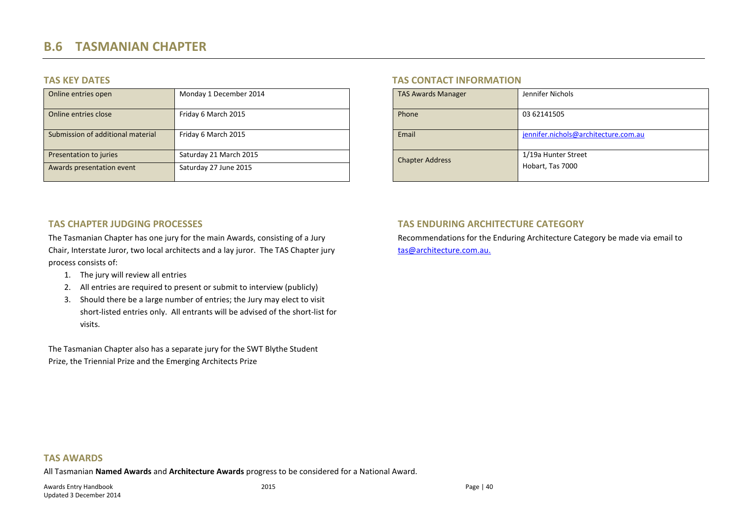| Online entries open               | Monday 1 December 2014 | <b>TAS Awards Manager</b> | Jennifer Nichols                     |
|-----------------------------------|------------------------|---------------------------|--------------------------------------|
| Online entries close              | Friday 6 March 2015    | Phone                     | 03 62141505                          |
| Submission of additional material | Friday 6 March 2015    | Email                     | jennifer.nichols@architecture.com.au |
| Presentation to juries            | Saturday 21 March 2015 | <b>Chapter Address</b>    | 1/19a Hunter Street                  |
| Awards presentation event         | Saturday 27 June 2015  |                           | Hobart, Tas 7000                     |

### **TAS KEY DATES TAS CONTACT INFORMATION**

| <b>TAS Awards Manager</b> | Jennifer Nichols                     |
|---------------------------|--------------------------------------|
| Phone                     | 03 62141505                          |
| Email                     | jennifer.nichols@architecture.com.au |
| <b>Chapter Address</b>    | 1/19a Hunter Street                  |
|                           | Hobart, Tas 7000                     |

### **TAS CHAPTER JUDGING PROCESSES**

<span id="page-39-0"></span>The Tasmanian Chapter has one jury for the main Awards, consisting of a Jury Chair, Interstate Juror, two local architects and a lay juror. The TAS Chapter jury process consists of:

- 1. The jury will review all entries
- 2. All entries are required to present or submit to interview (publicly)
- 3. Should there be a large number of entries; the Jury may elect to visit short-listed entries only. All entrants will be advised of the short-list for visits.

The Tasmanian Chapter also has a separate jury for the SWT Blythe Student Prize, the Triennial Prize and the Emerging Architects Prize

### **TAS ENDURING ARCHITECTURE CATEGORY**

Recommendations for the Enduring Architecture Category be made via email to [tas@architecture.com.au.](mailto:tas@architecture.com.au)

### **TAS AWARDS**

All Tasmanian **Named Awards** and **Architecture Awards** progress to be considered for a National Award.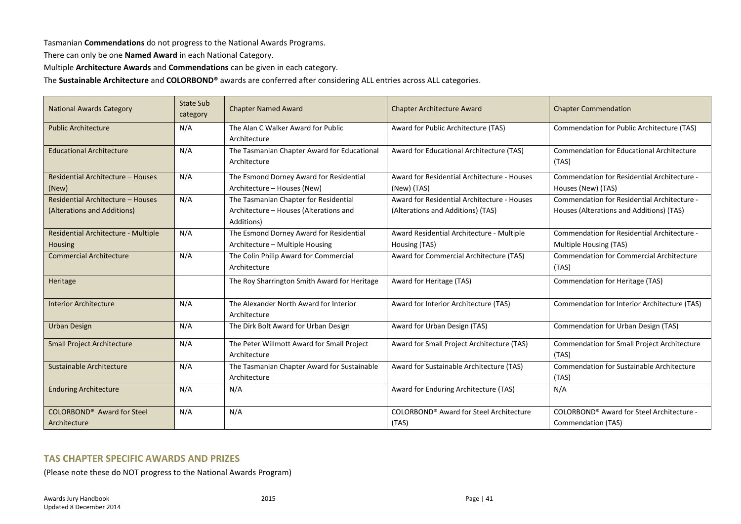Tasmanian **Commendations** do not progress to the National Awards Programs.

There can only be one **Named Award** in each National Category.

Multiple **Architecture Awards** and **Commendations** can be given in each category.

The **Sustainable Architecture** and **COLORBOND®** awards are conferred after considering ALL entries across ALL categories.

| <b>National Awards Category</b>                                  | <b>State Sub</b><br>category | <b>Chapter Named Award</b>                                                                    | Chapter Architecture Award                                                       | <b>Chapter Commendation</b>                                                             |
|------------------------------------------------------------------|------------------------------|-----------------------------------------------------------------------------------------------|----------------------------------------------------------------------------------|-----------------------------------------------------------------------------------------|
| <b>Public Architecture</b>                                       | N/A                          | The Alan C Walker Award for Public<br>Architecture                                            | Award for Public Architecture (TAS)                                              | <b>Commendation for Public Architecture (TAS)</b>                                       |
| <b>Educational Architecture</b>                                  | N/A                          | The Tasmanian Chapter Award for Educational<br>Architecture                                   | Award for Educational Architecture (TAS)                                         | <b>Commendation for Educational Architecture</b><br>(TAS)                               |
| Residential Architecture - Houses<br>(New)                       | N/A                          | The Esmond Dorney Award for Residential<br>Architecture - Houses (New)                        | Award for Residential Architecture - Houses<br>(New) (TAS)                       | Commendation for Residential Architecture -<br>Houses (New) (TAS)                       |
| Residential Architecture - Houses<br>(Alterations and Additions) | N/A                          | The Tasmanian Chapter for Residential<br>Architecture - Houses (Alterations and<br>Additions) | Award for Residential Architecture - Houses<br>(Alterations and Additions) (TAS) | Commendation for Residential Architecture -<br>Houses (Alterations and Additions) (TAS) |
| Residential Architecture - Multiple<br><b>Housing</b>            | N/A                          | The Esmond Dorney Award for Residential<br>Architecture - Multiple Housing                    | Award Residential Architecture - Multiple<br>Housing (TAS)                       | Commendation for Residential Architecture -<br>Multiple Housing (TAS)                   |
| <b>Commercial Architecture</b>                                   | N/A                          | The Colin Philip Award for Commercial<br>Architecture                                         | Award for Commercial Architecture (TAS)                                          | <b>Commendation for Commercial Architecture</b><br>(TAS)                                |
| Heritage                                                         |                              | The Roy Sharrington Smith Award for Heritage                                                  | Award for Heritage (TAS)                                                         | Commendation for Heritage (TAS)                                                         |
| <b>Interior Architecture</b>                                     | N/A                          | The Alexander North Award for Interior<br>Architecture                                        | Award for Interior Architecture (TAS)                                            | Commendation for Interior Architecture (TAS)                                            |
| <b>Urban Design</b>                                              | N/A                          | The Dirk Bolt Award for Urban Design                                                          | Award for Urban Design (TAS)                                                     | Commendation for Urban Design (TAS)                                                     |
| <b>Small Project Architecture</b>                                | N/A                          | The Peter Willmott Award for Small Project<br>Architecture                                    | Award for Small Project Architecture (TAS)                                       | Commendation for Small Project Architecture<br>(TAS)                                    |
| Sustainable Architecture                                         | N/A                          | The Tasmanian Chapter Award for Sustainable<br>Architecture                                   | Award for Sustainable Architecture (TAS)                                         | <b>Commendation for Sustainable Architecture</b><br>(TAS)                               |
| <b>Enduring Architecture</b>                                     | N/A                          | N/A                                                                                           | Award for Enduring Architecture (TAS)                                            | N/A                                                                                     |
| COLORBOND <sup>®</sup> Award for Steel<br>Architecture           | N/A                          | N/A                                                                                           | COLORBOND <sup>®</sup> Award for Steel Architecture<br>(TAS)                     | COLORBOND® Award for Steel Architecture -<br>Commendation (TAS)                         |

### **TAS CHAPTER SPECIFIC AWARDS AND PRIZES**

(Please note these do NOT progress to the National Awards Program)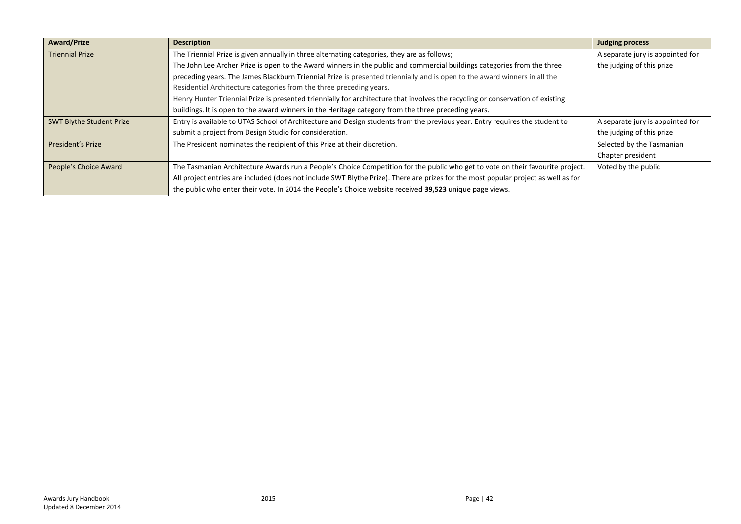| <b>Award/Prize</b>              | <b>Description</b>                                                                                                                 | <b>Judging process</b>           |
|---------------------------------|------------------------------------------------------------------------------------------------------------------------------------|----------------------------------|
| <b>Triennial Prize</b>          | The Triennial Prize is given annually in three alternating categories, they are as follows;                                        | A separate jury is appointed for |
|                                 | The John Lee Archer Prize is open to the Award winners in the public and commercial buildings categories from the three            | the judging of this prize        |
|                                 | preceding years. The James Blackburn Triennial Prize is presented triennially and is open to the award winners in all the          |                                  |
|                                 | Residential Architecture categories from the three preceding years.                                                                |                                  |
|                                 | Henry Hunter Triennial Prize is presented triennially for architecture that involves the recycling or conservation of existing     |                                  |
|                                 | buildings. It is open to the award winners in the Heritage category from the three preceding years.                                |                                  |
| <b>SWT Blythe Student Prize</b> | Entry is available to UTAS School of Architecture and Design students from the previous year. Entry requires the student to        | A separate jury is appointed for |
|                                 | submit a project from Design Studio for consideration.                                                                             | the judging of this prize        |
| <b>President's Prize</b>        | The President nominates the recipient of this Prize at their discretion.                                                           | Selected by the Tasmanian        |
|                                 |                                                                                                                                    | Chapter president                |
| People's Choice Award           | The Tasmanian Architecture Awards run a People's Choice Competition for the public who get to vote on their favourite project.     | Voted by the public              |
|                                 | All project entries are included (does not include SWT Blythe Prize). There are prizes for the most popular project as well as for |                                  |
|                                 | the public who enter their vote. In 2014 the People's Choice website received 39,523 unique page views.                            |                                  |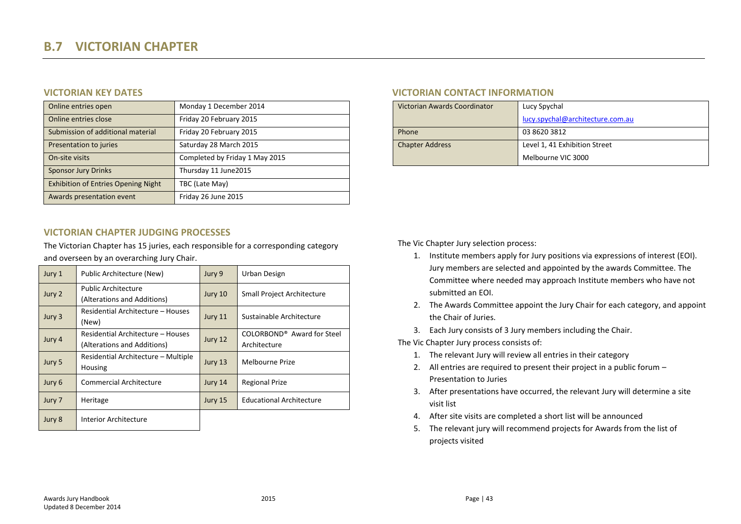| Online entries open                        | Monday 1 December 2014         | Victorian Awards Coordinator | Lucy Spychal                     |
|--------------------------------------------|--------------------------------|------------------------------|----------------------------------|
| Online entries close                       | Friday 20 February 2015        |                              | lucy.spychal@architecture.com.au |
| Submission of additional material          | Friday 20 February 2015        | Phone                        | 03 8620 3812                     |
| Presentation to juries                     | Saturday 28 March 2015         | <b>Chapter Address</b>       | Level 1, 41 Exhibition Street    |
| On-site visits                             | Completed by Friday 1 May 2015 |                              | Melbourne VIC 3000               |
| <b>Sponsor Jury Drinks</b>                 | Thursday 11 June2015           |                              |                                  |
| <b>Exhibition of Entries Opening Night</b> | TBC (Late May)                 |                              |                                  |
| Awards presentation event                  | Friday 26 June 2015            |                              |                                  |

### **VICTORIAN CHAPTER JUDGING PROCESSES**

The Victorian Chapter has 15 juries, each responsible for a corresponding category and overseen by an overarching Jury Chair.

<span id="page-42-0"></span>

| Jury 1 | Public Architecture (New)                                        | Jury 9  | Urban Design                                           |
|--------|------------------------------------------------------------------|---------|--------------------------------------------------------|
| Jury 2 | <b>Public Architecture</b><br>(Alterations and Additions)        | Jury 10 | Small Project Architecture                             |
| Jury 3 | Residential Architecture - Houses<br>(New)                       | Jury 11 | Sustainable Architecture                               |
| Jury 4 | Residential Architecture - Houses<br>(Alterations and Additions) | Jury 12 | COLORBOND <sup>®</sup> Award for Steel<br>Architecture |
| Jury 5 | Residential Architecture - Multiple<br>Housing                   | Jury 13 | Melbourne Prize                                        |
| Jury 6 | <b>Commercial Architecture</b>                                   | Jury 14 | <b>Regional Prize</b>                                  |
| Jury 7 | Heritage                                                         | Jury 15 | <b>Educational Architecture</b>                        |
| Jury 8 | Interior Architecture                                            |         |                                                        |

### **VICTORIAN KEY DATES VICTORIAN CONTACT INFORMATION**

| Victorian Awards Coordinator | Lucy Spychal                     |
|------------------------------|----------------------------------|
|                              | lucy.spychal@architecture.com.au |
| Phone                        | 03 8620 3812                     |
| <b>Chapter Address</b>       | Level 1, 41 Exhibition Street    |
|                              | Melbourne VIC 3000               |

The Vic Chapter Jury selection process:

- 1. Institute members apply for Jury positions via expressions of interest (EOI). Jury members are selected and appointed by the awards Committee. The Committee where needed may approach Institute members who have not submitted an EOI.
- 2. The Awards Committee appoint the Jury Chair for each category, and appoint the Chair of Juries.
- 3. Each Jury consists of 3 Jury members including the Chair.

The Vic Chapter Jury process consists of:

- 1. The relevant Jury will review all entries in their category
- 2. All entries are required to present their project in a public forum Presentation to Juries
- 3. After presentations have occurred, the relevant Jury will determine a site visit list
- 4. After site visits are completed a short list will be announced
- 5. The relevant jury will recommend projects for Awards from the list of projects visited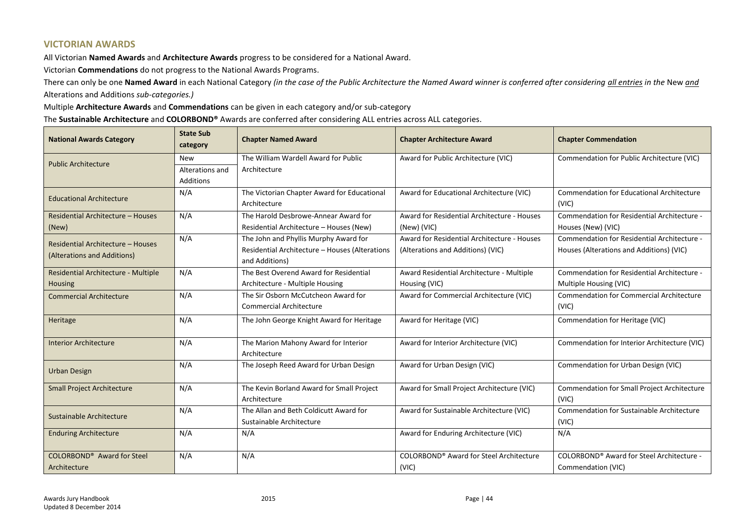### **VICTORIAN AWARDS**

All Victorian **Named Awards** and **Architecture Awards** progress to be considered for a National Award.

Victorian **Commendations** do not progress to the National Awards Programs.

There can only be one **Named Award** in each National Category *(in the case of the Public Architecture the Named Award winner is conferred after considering all entries in the* New *and* Alterations and Additions *sub-categories.)* 

Multiple **Architecture Awards** and **Commendations** can be given in each category and/or sub-category

The **Sustainable Architecture** and **COLORBOND®** Awards are conferred after considering ALL entries across ALL categories.

| <b>National Awards Category</b>     | <b>State Sub</b><br>category | <b>Chapter Named Award</b>                                            | <b>Chapter Architecture Award</b>           | <b>Chapter Commendation</b>                               |
|-------------------------------------|------------------------------|-----------------------------------------------------------------------|---------------------------------------------|-----------------------------------------------------------|
| <b>Public Architecture</b>          | <b>New</b>                   | The William Wardell Award for Public                                  | Award for Public Architecture (VIC)         | Commendation for Public Architecture (VIC)                |
|                                     | Alterations and              | Architecture                                                          |                                             |                                                           |
|                                     | Additions                    |                                                                       |                                             |                                                           |
| <b>Educational Architecture</b>     | N/A                          | The Victorian Chapter Award for Educational<br>Architecture           | Award for Educational Architecture (VIC)    | <b>Commendation for Educational Architecture</b><br>(VIC) |
| Residential Architecture - Houses   | N/A                          | The Harold Desbrowe-Annear Award for                                  | Award for Residential Architecture - Houses | Commendation for Residential Architecture -               |
| (New)                               |                              | Residential Architecture - Houses (New)                               | (New) (VIC)                                 | Houses (New) (VIC)                                        |
| Residential Architecture - Houses   | N/A                          | The John and Phyllis Murphy Award for                                 | Award for Residential Architecture - Houses | Commendation for Residential Architecture -               |
| (Alterations and Additions)         |                              | Residential Architecture - Houses (Alterations<br>and Additions)      | (Alterations and Additions) (VIC)           | Houses (Alterations and Additions) (VIC)                  |
| Residential Architecture - Multiple | N/A                          | The Best Overend Award for Residential                                | Award Residential Architecture - Multiple   | Commendation for Residential Architecture -               |
| <b>Housing</b>                      |                              | Architecture - Multiple Housing                                       | Housing (VIC)                               | Multiple Housing (VIC)                                    |
| <b>Commercial Architecture</b>      | N/A                          | The Sir Osborn McCutcheon Award for<br><b>Commercial Architecture</b> | Award for Commercial Architecture (VIC)     | <b>Commendation for Commercial Architecture</b><br>(VIC)  |
| Heritage                            | N/A                          | The John George Knight Award for Heritage                             | Award for Heritage (VIC)                    | Commendation for Heritage (VIC)                           |
| <b>Interior Architecture</b>        | N/A                          | The Marion Mahony Award for Interior<br>Architecture                  | Award for Interior Architecture (VIC)       | Commendation for Interior Architecture (VIC)              |
| <b>Urban Design</b>                 | N/A                          | The Joseph Reed Award for Urban Design                                | Award for Urban Design (VIC)                | Commendation for Urban Design (VIC)                       |
| <b>Small Project Architecture</b>   | N/A                          | The Kevin Borland Award for Small Project<br>Architecture             | Award for Small Project Architecture (VIC)  | Commendation for Small Project Architecture<br>(VIC)      |
| Sustainable Architecture            | N/A                          | The Allan and Beth Coldicutt Award for<br>Sustainable Architecture    | Award for Sustainable Architecture (VIC)    | <b>Commendation for Sustainable Architecture</b><br>(VIC) |
| <b>Enduring Architecture</b>        | N/A                          | N/A                                                                   | Award for Enduring Architecture (VIC)       | N/A                                                       |
| <b>COLORBOND®</b> Award for Steel   | N/A                          | N/A                                                                   | COLORBOND® Award for Steel Architecture     | COLORBOND® Award for Steel Architecture -                 |
| Architecture                        |                              |                                                                       | (VIC)                                       | Commendation (VIC)                                        |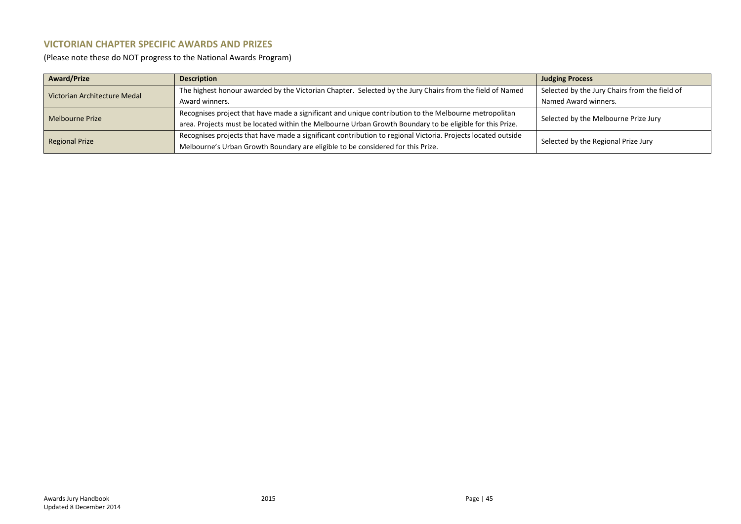### **VICTORIAN CHAPTER SPECIFIC AWARDS AND PRIZES**

(Please note these do NOT progress to the National Awards Program)

| <b>Award/Prize</b>           | <b>Description</b>                                                                                           | <b>Judging Process</b>                        |  |
|------------------------------|--------------------------------------------------------------------------------------------------------------|-----------------------------------------------|--|
| Victorian Architecture Medal | The highest honour awarded by the Victorian Chapter. Selected by the Jury Chairs from the field of Named     | Selected by the Jury Chairs from the field of |  |
|                              | Award winners.                                                                                               | Named Award winners.                          |  |
| Melbourne Prize              | Recognises project that have made a significant and unique contribution to the Melbourne metropolitan        | Selected by the Melbourne Prize Jury          |  |
|                              | area. Projects must be located within the Melbourne Urban Growth Boundary to be eligible for this Prize.     |                                               |  |
| <b>Regional Prize</b>        | Recognises projects that have made a significant contribution to regional Victoria. Projects located outside |                                               |  |
|                              | Melbourne's Urban Growth Boundary are eligible to be considered for this Prize.                              | Selected by the Regional Prize Jury           |  |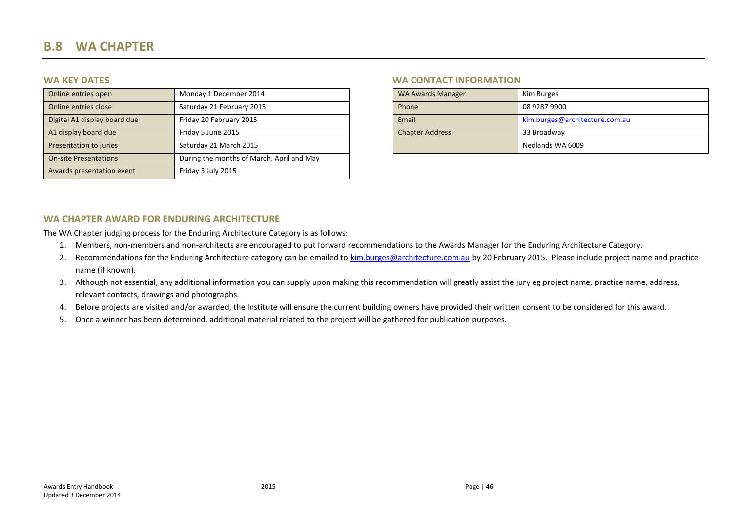# **B.8 WA CHAPTER**

| Online entries open          | Monday 1 December 2014                    | <b>WA Awards Manager</b> | Kim Burges                     |
|------------------------------|-------------------------------------------|--------------------------|--------------------------------|
| Online entries close         | Saturday 21 February 2015                 | Phone                    | 08 9287 9900                   |
| Digital A1 display board due | Friday 20 February 2015                   | Email                    | kim.burges@architecture.com.au |
| A1 display board due         | Friday 5 June 2015                        | <b>Chapter Address</b>   | 33 Broadway                    |
| Presentation to juries       | Saturday 21 March 2015                    |                          | Nedlands WA 6009               |
| <b>On-site Presentations</b> | During the months of March, April and May |                          |                                |
| Awards presentation event    | Friday 3 July 2015                        |                          |                                |

### **WA KEY DATES WA CONTACT INFORMATION**

| <b>WA Awards Manager</b> | Kim Burges                     |
|--------------------------|--------------------------------|
| Phone                    | 08 9287 9900                   |
| Email                    | kim.burges@architecture.com.au |
| <b>Chapter Address</b>   | 33 Broadway                    |
|                          | Nedlands WA 6009               |

### **WA CHAPTER AWARD FOR ENDURING ARCHITECTURE**

The WA Chapter judging process for the Enduring Architecture Category is as follows:

- 1. Members, non-members and non-architects are encouraged to put forward recommendations to the Awards Manager for the Enduring Architecture Category.
- <span id="page-45-0"></span>2. Recommendations for the Enduring Architecture category can be emailed to [kim.burges@architecture.com.au](mailto:kim.burges@architecture.com.au) by 20 February 2015. Please include project name and practice name (if known).
- 3. Although not essential, any additional information you can supply upon making this recommendation will greatly assist the jury eg project name, practice name, address, relevant contacts, drawings and photographs.
- 4. Before projects are visited and/or awarded, the Institute will ensure the current building owners have provided their written consent to be considered for this award.
- 5. Once a winner has been determined, additional material related to the project will be gathered for publication purposes.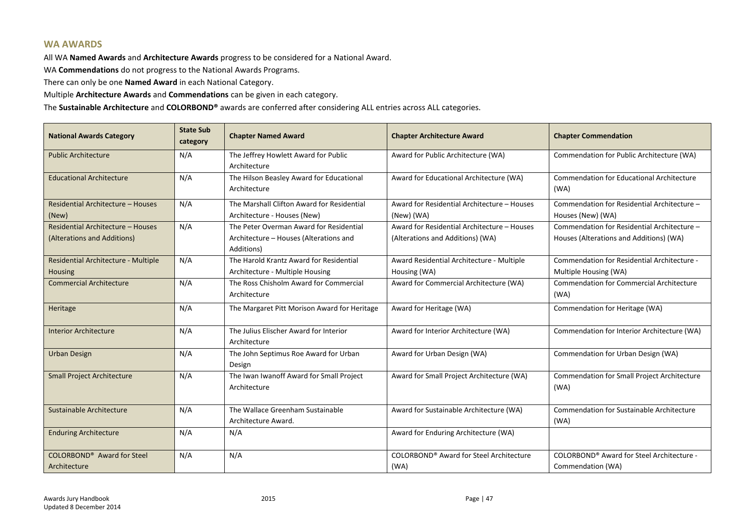### **WA AWARDS**

All WA **Named Awards** and **Architecture Awards** progress to be considered for a National Award.

WA **Commendations** do not progress to the National Awards Programs.

There can only be one **Named Award** in each National Category.

Multiple **Architecture Awards** and **Commendations** can be given in each category.

The **Sustainable Architecture** and **COLORBOND®** awards are conferred after considering ALL entries across ALL categories.

| <b>National Awards Category</b>                                  | <b>State Sub</b><br>category | <b>Chapter Named Award</b>                                                                      | <b>Chapter Architecture Award</b>                                               | <b>Chapter Commendation</b>                                                            |
|------------------------------------------------------------------|------------------------------|-------------------------------------------------------------------------------------------------|---------------------------------------------------------------------------------|----------------------------------------------------------------------------------------|
| <b>Public Architecture</b>                                       | N/A                          | The Jeffrey Howlett Award for Public<br>Architecture                                            | Award for Public Architecture (WA)                                              | Commendation for Public Architecture (WA)                                              |
| <b>Educational Architecture</b>                                  | N/A                          | The Hilson Beasley Award for Educational<br>Architecture                                        | Award for Educational Architecture (WA)                                         | <b>Commendation for Educational Architecture</b><br>(WA)                               |
| Residential Architecture - Houses<br>(New)                       | N/A                          | The Marshall Clifton Award for Residential<br>Architecture - Houses (New)                       | Award for Residential Architecture - Houses<br>(New) (WA)                       | Commendation for Residential Architecture -<br>Houses (New) (WA)                       |
| Residential Architecture - Houses<br>(Alterations and Additions) | N/A                          | The Peter Overman Award for Residential<br>Architecture - Houses (Alterations and<br>Additions) | Award for Residential Architecture - Houses<br>(Alterations and Additions) (WA) | Commendation for Residential Architecture -<br>Houses (Alterations and Additions) (WA) |
| Residential Architecture - Multiple<br><b>Housing</b>            | N/A                          | The Harold Krantz Award for Residential<br>Architecture - Multiple Housing                      | Award Residential Architecture - Multiple<br>Housing (WA)                       | Commendation for Residential Architecture -<br>Multiple Housing (WA)                   |
| <b>Commercial Architecture</b>                                   | N/A                          | The Ross Chisholm Award for Commercial<br>Architecture                                          | Award for Commercial Architecture (WA)                                          | <b>Commendation for Commercial Architecture</b><br>(WA)                                |
| Heritage                                                         | N/A                          | The Margaret Pitt Morison Award for Heritage                                                    | Award for Heritage (WA)                                                         | Commendation for Heritage (WA)                                                         |
| <b>Interior Architecture</b>                                     | N/A                          | The Julius Elischer Award for Interior<br>Architecture                                          | Award for Interior Architecture (WA)                                            | Commendation for Interior Architecture (WA)                                            |
| <b>Urban Design</b>                                              | N/A                          | The John Septimus Roe Award for Urban<br>Design                                                 | Award for Urban Design (WA)                                                     | Commendation for Urban Design (WA)                                                     |
| <b>Small Project Architecture</b>                                | N/A                          | The Iwan Iwanoff Award for Small Project<br>Architecture                                        | Award for Small Project Architecture (WA)                                       | Commendation for Small Project Architecture<br>(WA)                                    |
| Sustainable Architecture                                         | N/A                          | The Wallace Greenham Sustainable<br>Architecture Award.                                         | Award for Sustainable Architecture (WA)                                         | Commendation for Sustainable Architecture<br>(WA)                                      |
| <b>Enduring Architecture</b>                                     | N/A                          | N/A                                                                                             | Award for Enduring Architecture (WA)                                            |                                                                                        |
| <b>COLORBOND®</b> Award for Steel<br>Architecture                | N/A                          | N/A                                                                                             | <b>COLORBOND®</b> Award for Steel Architecture<br>(WA)                          | COLORBOND® Award for Steel Architecture -<br>Commendation (WA)                         |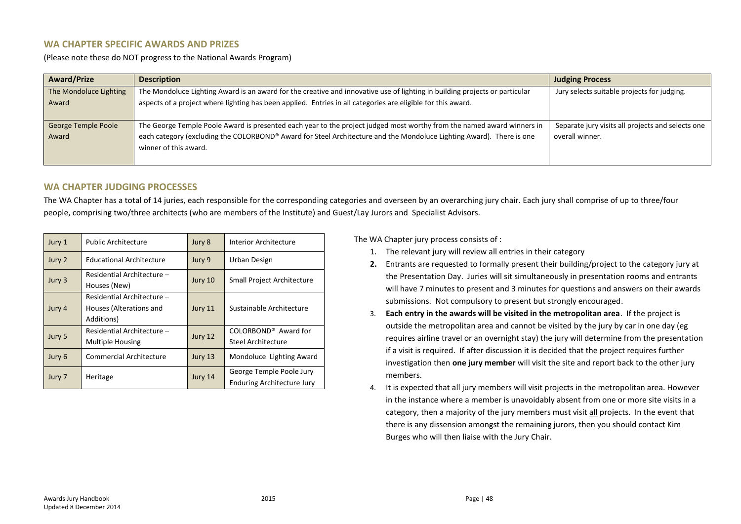### **WA CHAPTER SPECIFIC AWARDS AND PRIZES**

(Please note these do NOT progress to the National Awards Program)

| <b>Award/Prize</b>         | <b>Description</b>                                                                                                          | <b>Judging Process</b>                            |
|----------------------------|-----------------------------------------------------------------------------------------------------------------------------|---------------------------------------------------|
| The Mondoluce Lighting     | The Mondoluce Lighting Award is an award for the creative and innovative use of lighting in building projects or particular | Jury selects suitable projects for judging.       |
| Award                      | aspects of a project where lighting has been applied. Entries in all categories are eligible for this award.                |                                                   |
|                            |                                                                                                                             |                                                   |
| <b>George Temple Poole</b> | The George Temple Poole Award is presented each year to the project judged most worthy from the named award winners in      | Separate jury visits all projects and selects one |
| Award                      | each category (excluding the COLORBOND® Award for Steel Architecture and the Mondoluce Lighting Award). There is one        | overall winner.                                   |
|                            | winner of this award.                                                                                                       |                                                   |
|                            |                                                                                                                             |                                                   |

### **WA CHAPTER JUDGING PROCESSES**

The WA Chapter has a total of 14 juries, each responsible for the corresponding categories and overseen by an overarching jury chair. Each jury shall comprise of up to three/four people, comprising two/three architects (who are members of the Institute) and Guest/Lay Jurors and Specialist Advisors.

| Jury 1 | <b>Public Architecture</b>                                          | Jury 8  | Interior Architecture                                         |
|--------|---------------------------------------------------------------------|---------|---------------------------------------------------------------|
| Jury 2 | <b>Educational Architecture</b>                                     | Jury 9  | Urban Design                                                  |
| Jury 3 | Residential Architecture -<br>Houses (New)                          | Jury 10 | Small Project Architecture                                    |
| Jury 4 | Residential Architecture -<br>Houses (Alterations and<br>Additions) | Jury 11 | Sustainable Architecture                                      |
| Jury 5 | Residential Architecture -<br><b>Multiple Housing</b>               | Jury 12 | COLORBOND <sup>®</sup> Award for<br>Steel Architecture        |
| Jury 6 | <b>Commercial Architecture</b>                                      | Jury 13 | Mondoluce Lighting Award                                      |
| Jury 7 | Heritage                                                            | Jury 14 | George Temple Poole Jury<br><b>Enduring Architecture Jury</b> |

The WA Chapter jury process consists of :

- 1. The relevant jury will review all entries in their category
- **2.** Entrants are requested to formally present their building/project to the category jury at the Presentation Day. Juries will sit simultaneously in presentation rooms and entrants will have 7 minutes to present and 3 minutes for questions and answers on their awards submissions. Not compulsory to present but strongly encouraged.
- 3. **Each entry in the awards will be visited in the metropolitan area**. If the project is outside the metropolitan area and cannot be visited by the jury by car in one day (eg requires airline travel or an overnight stay) the jury will determine from the presentation if a visit is required. If after discussion it is decided that the project requires further investigation then **one jury member** will visit the site and report back to the other jury members.
- 4. It is expected that all jury members will visit projects in the metropolitan area. However in the instance where a member is unavoidably absent from one or more site visits in a category, then a majority of the jury members must visit all projects. In the event that there is any dissension amongst the remaining jurors, then you should contact Kim Burges who will then liaise with the Jury Chair.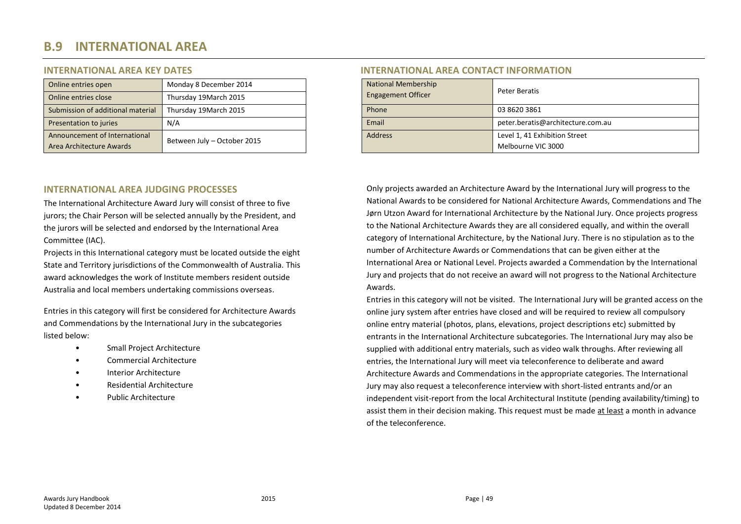# **B.9 INTERNATIONAL AREA**

| Online entries open               | Monday 8 December 2014      | <b>National Membership</b> | Peter Beratis  |
|-----------------------------------|-----------------------------|----------------------------|----------------|
| Online entries close              | Thursday 19March 2015       | <b>Engagement Officer</b>  |                |
| Submission of additional material | Thursday 19March 2015       | Phone                      | 03 8620 3861   |
| Presentation to juries            | N/A                         | Email                      | peter.beratis  |
| Announcement of International     | Between July - October 2015 | <b>Address</b>             | Level 1, 41 Ex |
| Area Architecture Awards          |                             |                            | Melbourne VI   |

### **INTERNATIONAL AREA JUDGING PROCESSES**

The International Architecture Award Jury will consist of three to five jurors; the Chair Person will be selected annually by the President, and the jurors will be selected and endorsed by the International Area Committee (IAC).

<span id="page-48-0"></span>Projects in this International category must be located outside the eight State and Territory jurisdictions of the Commonwealth of Australia. This award acknowledges the work of Institute members resident outside Australia and local members undertaking commissions overseas.

Entries in this category will first be considered for Architecture Awards and Commendations by the International Jury in the subcategories listed below:

- Small Project Architecture
- Commercial Architecture
- Interior Architecture
- Residential Architecture
- Public Architecture

### **INTERNATIONAL AREA KEY DATES INTERNATIONAL AREA CONTACT INFORMATION**

| Online entries open               | Monday 8 December 2014      |                           | <b>National Membership</b> | Peter Beratis                     |  |
|-----------------------------------|-----------------------------|---------------------------|----------------------------|-----------------------------------|--|
| Online entries close              | Thursday 19March 2015       | <b>Engagement Officer</b> |                            |                                   |  |
| Submission of additional material | Thursday 19March 2015       |                           | Phone                      | 03 8620 3861                      |  |
| Presentation to juries            | N/A                         |                           | Email                      | peter.beratis@architecture.com.au |  |
| Announcement of International     | Between July - October 2015 |                           | <b>Address</b>             | Level 1, 41 Exhibition Street     |  |
| Area Architecture Awards          |                             |                           |                            | Melbourne VIC 3000                |  |

Only projects awarded an Architecture Award by the International Jury will progress to the National Awards to be considered for National Architecture Awards, Commendations and The Jørn Utzon Award for International Architecture by the National Jury. Once projects progress to the National Architecture Awards they are all considered equally, and within the overall category of International Architecture, by the National Jury. There is no stipulation as to the number of Architecture Awards or Commendations that can be given either at the International Area or National Level. Projects awarded a Commendation by the International Jury and projects that do not receive an award will not progress to the National Architecture Awards.

Entries in this category will not be visited. The International Jury will be granted access on the online jury system after entries have closed and will be required to review all compulsory online entry material (photos, plans, elevations, project descriptions etc) submitted by entrants in the International Architecture subcategories. The International Jury may also be supplied with additional entry materials, such as video walk throughs. After reviewing all entries, the International Jury will meet via teleconference to deliberate and award Architecture Awards and Commendations in the appropriate categories. The International Jury may also request a teleconference interview with short-listed entrants and/or an independent visit-report from the local Architectural Institute (pending availability/timing) to assist them in their decision making. This request must be made at least a month in advance of the teleconference.